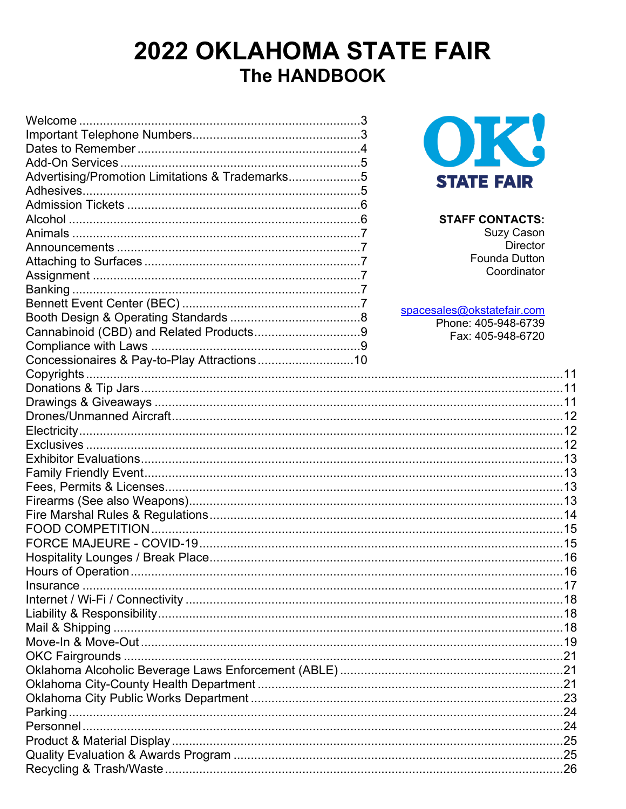## 2022 OKLAHOMA STATE FAIR The HANDBOOK

| Advertising/Promotion Limitations & Trademarks5 | <b>STATE FAIR</b>          |
|-------------------------------------------------|----------------------------|
|                                                 |                            |
|                                                 |                            |
|                                                 | <b>STAFF CONTACTS:</b>     |
|                                                 | <b>Suzy Cason</b>          |
|                                                 | <b>Director</b>            |
|                                                 | <b>Founda Dutton</b>       |
|                                                 | Coordinator                |
|                                                 |                            |
|                                                 |                            |
|                                                 | spacesales@okstatefair.com |
|                                                 | Phone: 405-948-6739        |
|                                                 | Fax: 405-948-6720          |
| Concessionaires & Pay-to-Play Attractions10     |                            |
|                                                 |                            |
|                                                 |                            |
|                                                 |                            |
|                                                 |                            |
|                                                 |                            |
|                                                 |                            |
|                                                 |                            |
|                                                 |                            |
|                                                 |                            |
|                                                 |                            |
|                                                 |                            |
|                                                 |                            |
|                                                 |                            |
|                                                 |                            |
| Hours of Operation.                             |                            |
|                                                 |                            |
|                                                 |                            |
|                                                 |                            |
|                                                 |                            |
|                                                 |                            |
|                                                 |                            |
|                                                 |                            |
|                                                 |                            |
|                                                 |                            |
|                                                 |                            |
|                                                 |                            |
|                                                 |                            |
|                                                 |                            |
|                                                 |                            |
|                                                 |                            |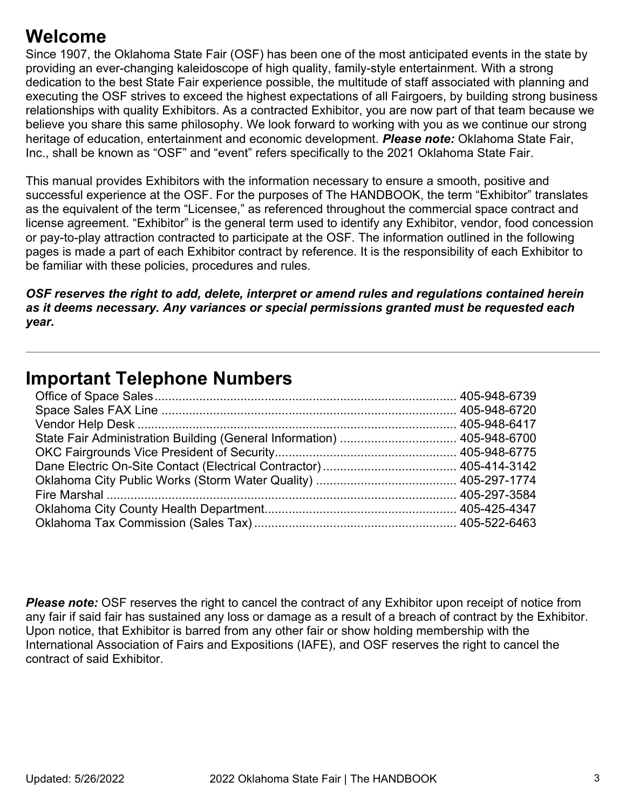### **Welcome**

Since 1907, the Oklahoma State Fair (OSF) has been one of the most anticipated events in the state by providing an ever-changing kaleidoscope of high quality, family-style entertainment. With a strong dedication to the best State Fair experience possible, the multitude of staff associated with planning and executing the OSF strives to exceed the highest expectations of all Fairgoers, by building strong business relationships with quality Exhibitors. As a contracted Exhibitor, you are now part of that team because we believe you share this same philosophy. We look forward to working with you as we continue our strong heritage of education, entertainment and economic development. *Please note:* Oklahoma State Fair, Inc., shall be known as "OSF" and "event" refers specifically to the 2021 Oklahoma State Fair.

This manual provides Exhibitors with the information necessary to ensure a smooth, positive and successful experience at the OSF. For the purposes of The HANDBOOK, the term "Exhibitor" translates as the equivalent of the term "Licensee," as referenced throughout the commercial space contract and license agreement. "Exhibitor" is the general term used to identify any Exhibitor, vendor, food concession or pay-to-play attraction contracted to participate at the OSF. The information outlined in the following pages is made a part of each Exhibitor contract by reference. It is the responsibility of each Exhibitor to be familiar with these policies, procedures and rules.

*OSF reserves the right to add, delete, interpret or amend rules and regulations contained herein as it deems necessary. Any variances or special permissions granted must be requested each year.*

### **Important Telephone Numbers**

**Please note:** OSF reserves the right to cancel the contract of any Exhibitor upon receipt of notice from any fair if said fair has sustained any loss or damage as a result of a breach of contract by the Exhibitor. Upon notice, that Exhibitor is barred from any other fair or show holding membership with the International Association of Fairs and Expositions (IAFE), and OSF reserves the right to cancel the contract of said Exhibitor.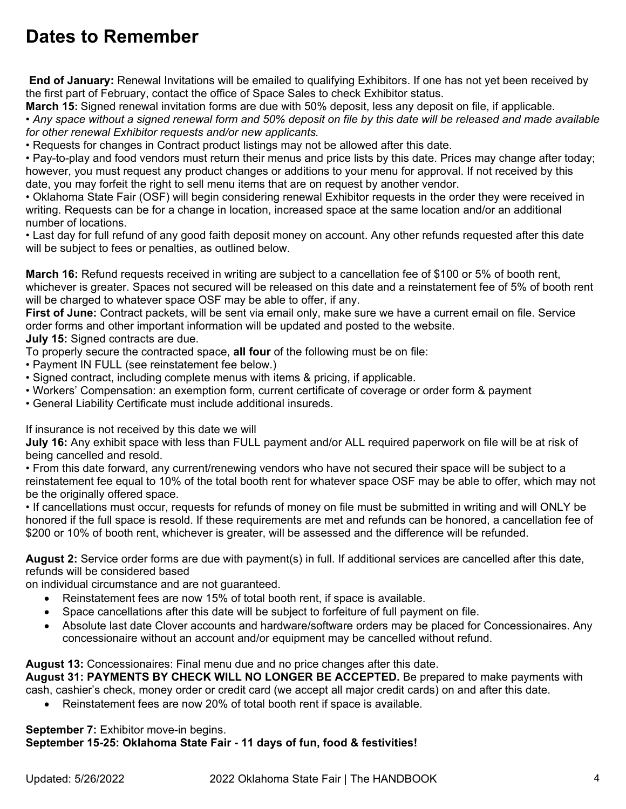### **Dates to Remember**

**End of January:** Renewal Invitations will be emailed to qualifying Exhibitors. If one has not yet been received by the first part of February, contact the office of Space Sales to check Exhibitor status.

**March 15:** Signed renewal invitation forms are due with 50% deposit, less any deposit on file, if applicable. • *Any space without a signed renewal form and 50% deposit on file by this date will be released and made available for other renewal Exhibitor requests and/or new applicants.* 

• Requests for changes in Contract product listings may not be allowed after this date.

• Pay-to-play and food vendors must return their menus and price lists by this date. Prices may change after today; however, you must request any product changes or additions to your menu for approval. If not received by this date, you may forfeit the right to sell menu items that are on request by another vendor.

• Oklahoma State Fair (OSF) will begin considering renewal Exhibitor requests in the order they were received in writing. Requests can be for a change in location, increased space at the same location and/or an additional number of locations.

• Last day for full refund of any good faith deposit money on account. Any other refunds requested after this date will be subject to fees or penalties, as outlined below.

**March 16:** Refund requests received in writing are subject to a cancellation fee of \$100 or 5% of booth rent, whichever is greater. Spaces not secured will be released on this date and a reinstatement fee of 5% of booth rent will be charged to whatever space OSF may be able to offer, if any.

**First of June:** Contract packets, will be sent via email only, make sure we have a current email on file. Service order forms and other important information will be updated and posted to the website.

**July 15:** Signed contracts are due.

To properly secure the contracted space, **all four** of the following must be on file:

- Payment IN FULL (see reinstatement fee below.)
- Signed contract, including complete menus with items & pricing, if applicable.
- Workers' Compensation: an exemption form, current certificate of coverage or order form & payment
- General Liability Certificate must include additional insureds.

If insurance is not received by this date we will

**July 16:** Any exhibit space with less than FULL payment and/or ALL required paperwork on file will be at risk of being cancelled and resold.

• From this date forward, any current/renewing vendors who have not secured their space will be subject to a reinstatement fee equal to 10% of the total booth rent for whatever space OSF may be able to offer, which may not be the originally offered space.

• If cancellations must occur, requests for refunds of money on file must be submitted in writing and will ONLY be honored if the full space is resold. If these requirements are met and refunds can be honored, a cancellation fee of \$200 or 10% of booth rent, whichever is greater, will be assessed and the difference will be refunded.

**August 2:** Service order forms are due with payment(s) in full. If additional services are cancelled after this date, refunds will be considered based

on individual circumstance and are not guaranteed.

- Reinstatement fees are now 15% of total booth rent, if space is available.
- Space cancellations after this date will be subject to forfeiture of full payment on file.
- Absolute last date Clover accounts and hardware/software orders may be placed for Concessionaires. Any concessionaire without an account and/or equipment may be cancelled without refund.

**August 13:** Concessionaires: Final menu due and no price changes after this date.

**August 31: PAYMENTS BY CHECK WILL NO LONGER BE ACCEPTED.** Be prepared to make payments with cash, cashier's check, money order or credit card (we accept all major credit cards) on and after this date.

• Reinstatement fees are now 20% of total booth rent if space is available.

**September 7: Exhibitor move-in begins. September 15-25: Oklahoma State Fair - 11 days of fun, food & festivities!**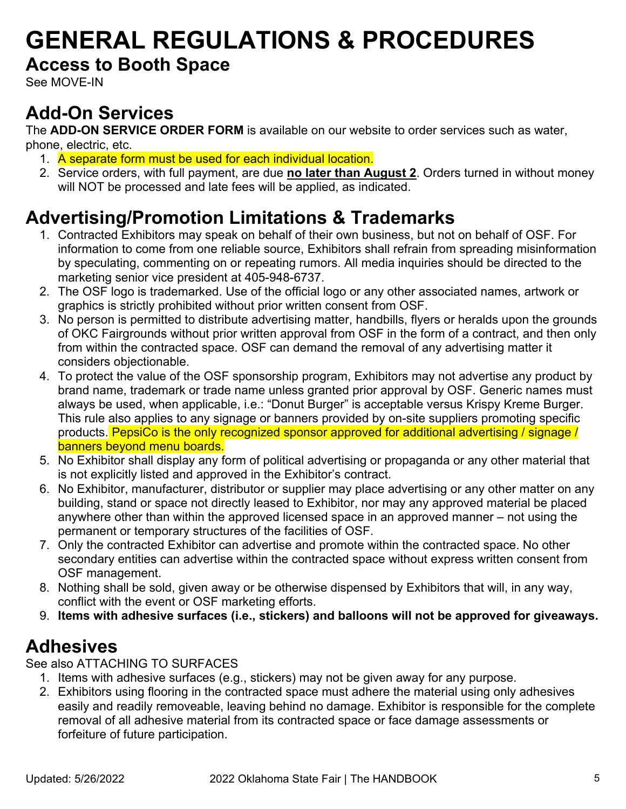# **GENERAL REGULATIONS & PROCEDURES**

### **Access to Booth Space**

See MOVE-IN

### **Add-On Services**

The **ADD-ON SERVICE ORDER FORM** is available on our website to order services such as water, phone, electric, etc.

- 1. A separate form must be used for each individual location.
- 2. Service orders, with full payment, are due **no later than August 2**. Orders turned in without money will NOT be processed and late fees will be applied, as indicated.

### **Advertising/Promotion Limitations & Trademarks**

- 1. Contracted Exhibitors may speak on behalf of their own business, but not on behalf of OSF. For information to come from one reliable source, Exhibitors shall refrain from spreading misinformation by speculating, commenting on or repeating rumors. All media inquiries should be directed to the marketing senior vice president at 405-948-6737.
- 2. The OSF logo is trademarked. Use of the official logo or any other associated names, artwork or graphics is strictly prohibited without prior written consent from OSF.
- 3. No person is permitted to distribute advertising matter, handbills, flyers or heralds upon the grounds of OKC Fairgrounds without prior written approval from OSF in the form of a contract, and then only from within the contracted space. OSF can demand the removal of any advertising matter it considers objectionable.
- 4. To protect the value of the OSF sponsorship program, Exhibitors may not advertise any product by brand name, trademark or trade name unless granted prior approval by OSF. Generic names must always be used, when applicable, i.e.: "Donut Burger" is acceptable versus Krispy Kreme Burger. This rule also applies to any signage or banners provided by on-site suppliers promoting specific products. PepsiCo is the only recognized sponsor approved for additional advertising / signage / banners beyond menu boards.
- 5. No Exhibitor shall display any form of political advertising or propaganda or any other material that is not explicitly listed and approved in the Exhibitor's contract.
- 6. No Exhibitor, manufacturer, distributor or supplier may place advertising or any other matter on any building, stand or space not directly leased to Exhibitor, nor may any approved material be placed anywhere other than within the approved licensed space in an approved manner – not using the permanent or temporary structures of the facilities of OSF.
- 7. Only the contracted Exhibitor can advertise and promote within the contracted space. No other secondary entities can advertise within the contracted space without express written consent from OSF management.
- 8. Nothing shall be sold, given away or be otherwise dispensed by Exhibitors that will, in any way, conflict with the event or OSF marketing efforts.
- 9. **Items with adhesive surfaces (i.e., stickers) and balloons will not be approved for giveaways.**

### **Adhesives**

See also ATTACHING TO SURFACES

- 1. Items with adhesive surfaces (e.g., stickers) may not be given away for any purpose.
- 2. Exhibitors using flooring in the contracted space must adhere the material using only adhesives easily and readily removeable, leaving behind no damage. Exhibitor is responsible for the complete removal of all adhesive material from its contracted space or face damage assessments or forfeiture of future participation.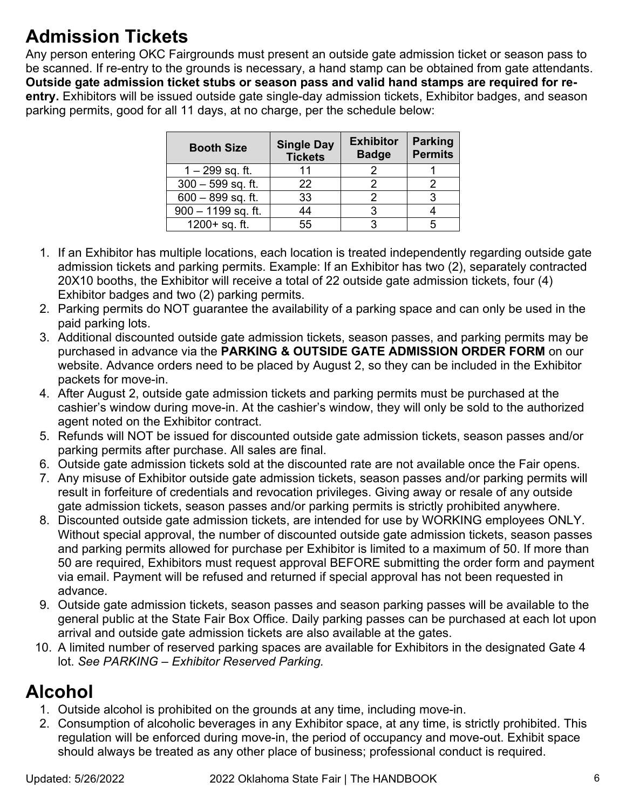### **Admission Tickets**

Any person entering OKC Fairgrounds must present an outside gate admission ticket or season pass to be scanned. If re-entry to the grounds is necessary, a hand stamp can be obtained from gate attendants. **Outside gate admission ticket stubs or season pass and valid hand stamps are required for reentry.** Exhibitors will be issued outside gate single-day admission tickets, Exhibitor badges, and season parking permits, good for all 11 days, at no charge, per the schedule below:

| <b>Booth Size</b>    | <b>Single Day</b><br><b>Tickets</b> | <b>Exhibitor</b><br><b>Badge</b> | <b>Parking</b><br><b>Permits</b> |
|----------------------|-------------------------------------|----------------------------------|----------------------------------|
| $1 - 299$ sq. ft.    |                                     |                                  |                                  |
| $300 - 599$ sq. ft.  | 22                                  |                                  |                                  |
| $600 - 899$ sq. ft.  | 33                                  |                                  |                                  |
| $900 - 1199$ sq. ft. | 44                                  |                                  |                                  |
| $1200 + sq.$ ft.     | 55                                  |                                  |                                  |

- 1. If an Exhibitor has multiple locations, each location is treated independently regarding outside gate admission tickets and parking permits. Example: If an Exhibitor has two (2), separately contracted 20X10 booths, the Exhibitor will receive a total of 22 outside gate admission tickets, four (4) Exhibitor badges and two (2) parking permits.
- 2. Parking permits do NOT guarantee the availability of a parking space and can only be used in the paid parking lots.
- 3. Additional discounted outside gate admission tickets, season passes, and parking permits may be purchased in advance via the **PARKING & OUTSIDE GATE ADMISSION ORDER FORM** on our website. Advance orders need to be placed by August 2, so they can be included in the Exhibitor packets for move-in.
- 4. After August 2, outside gate admission tickets and parking permits must be purchased at the cashier's window during move-in. At the cashier's window, they will only be sold to the authorized agent noted on the Exhibitor contract.
- 5. Refunds will NOT be issued for discounted outside gate admission tickets, season passes and/or parking permits after purchase. All sales are final.
- 6. Outside gate admission tickets sold at the discounted rate are not available once the Fair opens.
- 7. Any misuse of Exhibitor outside gate admission tickets, season passes and/or parking permits will result in forfeiture of credentials and revocation privileges. Giving away or resale of any outside gate admission tickets, season passes and/or parking permits is strictly prohibited anywhere.
- 8. Discounted outside gate admission tickets, are intended for use by WORKING employees ONLY. Without special approval, the number of discounted outside gate admission tickets, season passes and parking permits allowed for purchase per Exhibitor is limited to a maximum of 50. If more than 50 are required, Exhibitors must request approval BEFORE submitting the order form and payment via email. Payment will be refused and returned if special approval has not been requested in advance.
- 9. Outside gate admission tickets, season passes and season parking passes will be available to the general public at the State Fair Box Office. Daily parking passes can be purchased at each lot upon arrival and outside gate admission tickets are also available at the gates.
- 10. A limited number of reserved parking spaces are available for Exhibitors in the designated Gate 4 lot. *See PARKING – Exhibitor Reserved Parking.*

### **Alcohol**

- 1. Outside alcohol is prohibited on the grounds at any time, including move-in.
- 2. Consumption of alcoholic beverages in any Exhibitor space, at any time, is strictly prohibited. This regulation will be enforced during move-in, the period of occupancy and move-out. Exhibit space should always be treated as any other place of business; professional conduct is required.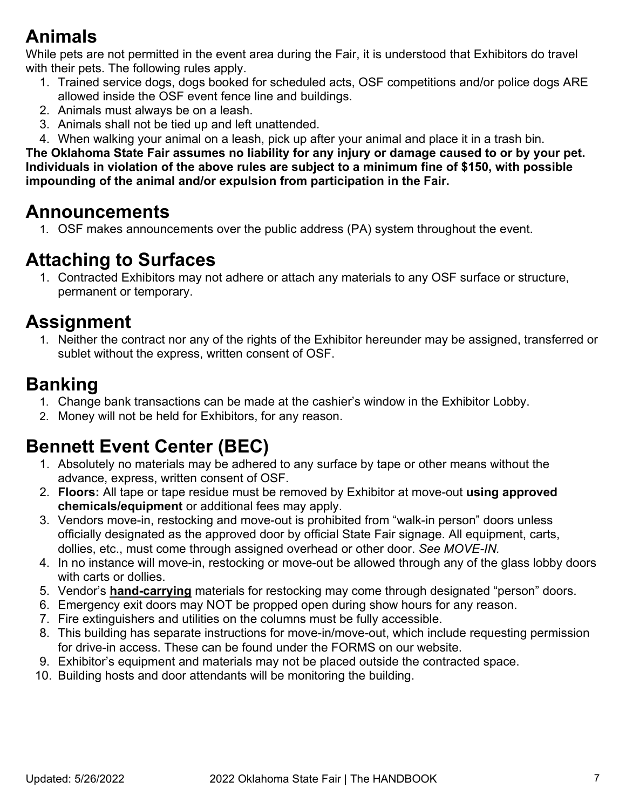### **Animals**

While pets are not permitted in the event area during the Fair, it is understood that Exhibitors do travel with their pets. The following rules apply.

- 1. Trained service dogs, dogs booked for scheduled acts, OSF competitions and/or police dogs ARE allowed inside the OSF event fence line and buildings.
- 2. Animals must always be on a leash.
- 3. Animals shall not be tied up and left unattended.
- 4. When walking your animal on a leash, pick up after your animal and place it in a trash bin.

**The Oklahoma State Fair assumes no liability for any injury or damage caused to or by your pet. Individuals in violation of the above rules are subject to a minimum fine of \$150, with possible impounding of the animal and/or expulsion from participation in the Fair.** 

### **Announcements**

1. OSF makes announcements over the public address (PA) system throughout the event.

### **Attaching to Surfaces**

1. Contracted Exhibitors may not adhere or attach any materials to any OSF surface or structure, permanent or temporary.

### **Assignment**

1. Neither the contract nor any of the rights of the Exhibitor hereunder may be assigned, transferred or sublet without the express, written consent of OSF.

### **Banking**

- 1. Change bank transactions can be made at the cashier's window in the Exhibitor Lobby.
- 2. Money will not be held for Exhibitors, for any reason.

### **Bennett Event Center (BEC)**

- 1. Absolutely no materials may be adhered to any surface by tape or other means without the advance, express, written consent of OSF.
- 2. **Floors:** All tape or tape residue must be removed by Exhibitor at move-out **using approved chemicals/equipment** or additional fees may apply.
- 3. Vendors move-in, restocking and move-out is prohibited from "walk-in person" doors unless officially designated as the approved door by official State Fair signage. All equipment, carts, dollies, etc., must come through assigned overhead or other door. *See MOVE-IN.*
- 4. In no instance will move-in, restocking or move-out be allowed through any of the glass lobby doors with carts or dollies.
- 5. Vendor's **hand-carrying** materials for restocking may come through designated "person" doors.
- 6. Emergency exit doors may NOT be propped open during show hours for any reason.
- 7. Fire extinguishers and utilities on the columns must be fully accessible.
- 8. This building has separate instructions for move-in/move-out, which include requesting permission for drive-in access. These can be found under the FORMS on our website.
- 9. Exhibitor's equipment and materials may not be placed outside the contracted space.
- 10. Building hosts and door attendants will be monitoring the building.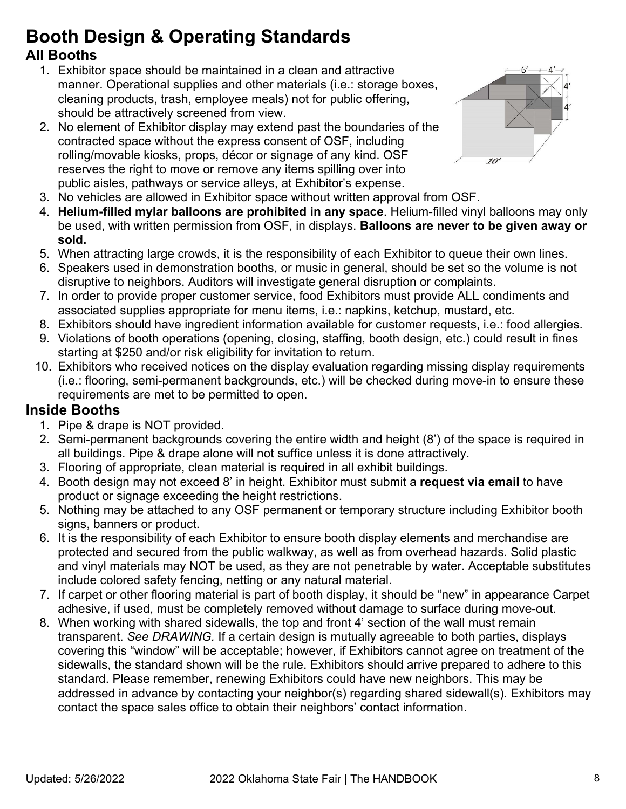## **Booth Design & Operating Standards**

### **All Booths**

- 1. Exhibitor space should be maintained in a clean and attractive manner. Operational supplies and other materials (i.e.: storage boxes, cleaning products, trash, employee meals) not for public offering, should be attractively screened from view.
- 2. No element of Exhibitor display may extend past the boundaries of the contracted space without the express consent of OSF, including rolling/movable kiosks, props, décor or signage of any kind. OSF reserves the right to move or remove any items spilling over into public aisles, pathways or service alleys, at Exhibitor's expense.



- 3. No vehicles are allowed in Exhibitor space without written approval from OSF.
- 4. **Helium-filled mylar balloons are prohibited in any space**. Helium-filled vinyl balloons may only be used, with written permission from OSF, in displays. **Balloons are never to be given away or sold.**
- 5. When attracting large crowds, it is the responsibility of each Exhibitor to queue their own lines.
- 6. Speakers used in demonstration booths, or music in general, should be set so the volume is not disruptive to neighbors. Auditors will investigate general disruption or complaints.
- 7. In order to provide proper customer service, food Exhibitors must provide ALL condiments and associated supplies appropriate for menu items, i.e.: napkins, ketchup, mustard, etc.
- 8. Exhibitors should have ingredient information available for customer requests, i.e.: food allergies.
- 9. Violations of booth operations (opening, closing, staffing, booth design, etc.) could result in fines starting at \$250 and/or risk eligibility for invitation to return.
- 10. Exhibitors who received notices on the display evaluation regarding missing display requirements (i.e.: flooring, semi-permanent backgrounds, etc.) will be checked during move-in to ensure these requirements are met to be permitted to open.

#### **Inside Booths**

- 1. Pipe & drape is NOT provided.
- 2. Semi-permanent backgrounds covering the entire width and height (8') of the space is required in all buildings. Pipe & drape alone will not suffice unless it is done attractively.
- 3. Flooring of appropriate, clean material is required in all exhibit buildings.
- 4. Booth design may not exceed 8' in height. Exhibitor must submit a **request via email** to have product or signage exceeding the height restrictions.
- 5. Nothing may be attached to any OSF permanent or temporary structure including Exhibitor booth signs, banners or product.
- 6. It is the responsibility of each Exhibitor to ensure booth display elements and merchandise are protected and secured from the public walkway, as well as from overhead hazards. Solid plastic and vinyl materials may NOT be used, as they are not penetrable by water. Acceptable substitutes include colored safety fencing, netting or any natural material.
- 7. If carpet or other flooring material is part of booth display, it should be "new" in appearance Carpet adhesive, if used, must be completely removed without damage to surface during move-out.
- 8. When working with shared sidewalls, the top and front 4' section of the wall must remain transparent. *See DRAWING.* If a certain design is mutually agreeable to both parties, displays covering this "window" will be acceptable; however, if Exhibitors cannot agree on treatment of the sidewalls, the standard shown will be the rule. Exhibitors should arrive prepared to adhere to this standard. Please remember, renewing Exhibitors could have new neighbors. This may be addressed in advance by contacting your neighbor(s) regarding shared sidewall(s). Exhibitors may contact the space sales office to obtain their neighbors' contact information.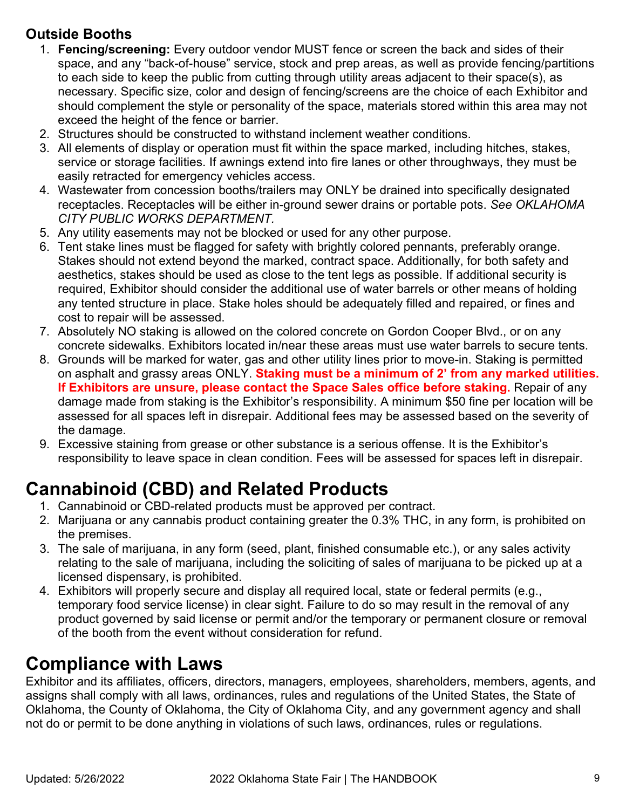### **Outside Booths**

- 1. **Fencing/screening:** Every outdoor vendor MUST fence or screen the back and sides of their space, and any "back-of-house" service, stock and prep areas, as well as provide fencing/partitions to each side to keep the public from cutting through utility areas adjacent to their space(s), as necessary. Specific size, color and design of fencing/screens are the choice of each Exhibitor and should complement the style or personality of the space, materials stored within this area may not exceed the height of the fence or barrier.
- 2. Structures should be constructed to withstand inclement weather conditions.
- 3. All elements of display or operation must fit within the space marked, including hitches, stakes, service or storage facilities. If awnings extend into fire lanes or other throughways, they must be easily retracted for emergency vehicles access.
- 4. Wastewater from concession booths/trailers may ONLY be drained into specifically designated receptacles. Receptacles will be either in-ground sewer drains or portable pots. *See OKLAHOMA CITY PUBLIC WORKS DEPARTMENT.*
- 5. Any utility easements may not be blocked or used for any other purpose.
- 6. Tent stake lines must be flagged for safety with brightly colored pennants, preferably orange. Stakes should not extend beyond the marked, contract space. Additionally, for both safety and aesthetics, stakes should be used as close to the tent legs as possible. If additional security is required, Exhibitor should consider the additional use of water barrels or other means of holding any tented structure in place. Stake holes should be adequately filled and repaired, or fines and cost to repair will be assessed.
- 7. Absolutely NO staking is allowed on the colored concrete on Gordon Cooper Blvd., or on any concrete sidewalks. Exhibitors located in/near these areas must use water barrels to secure tents.
- 8. Grounds will be marked for water, gas and other utility lines prior to move-in. Staking is permitted on asphalt and grassy areas ONLY. **Staking must be a minimum of 2' from any marked utilities. If Exhibitors are unsure, please contact the Space Sales office before staking.** Repair of any damage made from staking is the Exhibitor's responsibility. A minimum \$50 fine per location will be assessed for all spaces left in disrepair. Additional fees may be assessed based on the severity of the damage.
- 9. Excessive staining from grease or other substance is a serious offense. It is the Exhibitor's responsibility to leave space in clean condition. Fees will be assessed for spaces left in disrepair.

### **Cannabinoid (CBD) and Related Products**

- 1. Cannabinoid or CBD-related products must be approved per contract.
- 2. Marijuana or any cannabis product containing greater the 0.3% THC, in any form, is prohibited on the premises.
- 3. The sale of marijuana, in any form (seed, plant, finished consumable etc.), or any sales activity relating to the sale of marijuana, including the soliciting of sales of marijuana to be picked up at a licensed dispensary, is prohibited.
- 4. Exhibitors will properly secure and display all required local, state or federal permits (e.g., temporary food service license) in clear sight. Failure to do so may result in the removal of any product governed by said license or permit and/or the temporary or permanent closure or removal of the booth from the event without consideration for refund.

### **Compliance with Laws**

Exhibitor and its affiliates, officers, directors, managers, employees, shareholders, members, agents, and assigns shall comply with all laws, ordinances, rules and regulations of the United States, the State of Oklahoma, the County of Oklahoma, the City of Oklahoma City, and any government agency and shall not do or permit to be done anything in violations of such laws, ordinances, rules or regulations.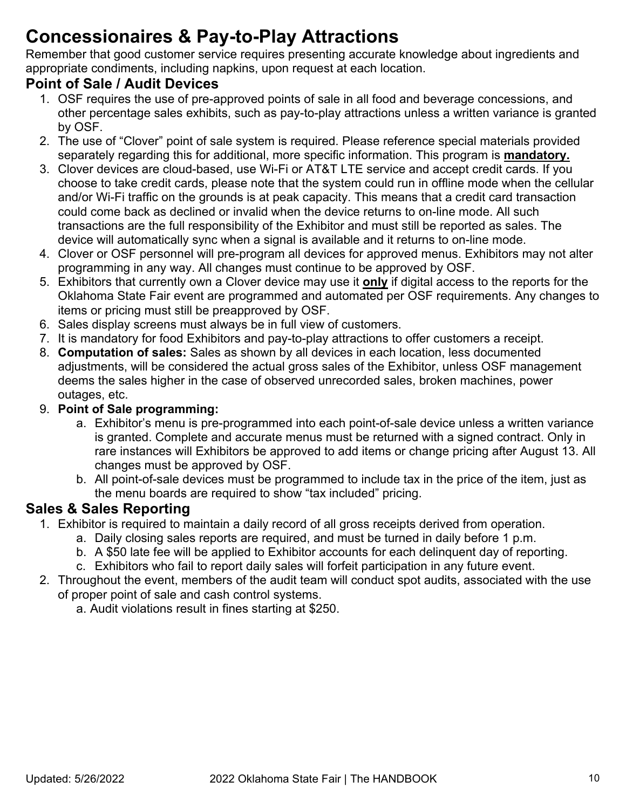### **Concessionaires & Pay-to-Play Attractions**

Remember that good customer service requires presenting accurate knowledge about ingredients and appropriate condiments, including napkins, upon request at each location.

#### **Point of Sale / Audit Devices**

- 1. OSF requires the use of pre-approved points of sale in all food and beverage concessions, and other percentage sales exhibits, such as pay-to-play attractions unless a written variance is granted by OSF.
- 2. The use of "Clover" point of sale system is required. Please reference special materials provided separately regarding this for additional, more specific information. This program is **mandatory.**
- 3. Clover devices are cloud-based, use Wi-Fi or AT&T LTE service and accept credit cards. If you choose to take credit cards, please note that the system could run in offline mode when the cellular and/or Wi-Fi traffic on the grounds is at peak capacity. This means that a credit card transaction could come back as declined or invalid when the device returns to on-line mode. All such transactions are the full responsibility of the Exhibitor and must still be reported as sales. The device will automatically sync when a signal is available and it returns to on-line mode.
- 4. Clover or OSF personnel will pre-program all devices for approved menus. Exhibitors may not alter programming in any way. All changes must continue to be approved by OSF.
- 5. Exhibitors that currently own a Clover device may use it **only** if digital access to the reports for the Oklahoma State Fair event are programmed and automated per OSF requirements. Any changes to items or pricing must still be preapproved by OSF.
- 6. Sales display screens must always be in full view of customers.
- 7. It is mandatory for food Exhibitors and pay-to-play attractions to offer customers a receipt.
- 8. **Computation of sales:** Sales as shown by all devices in each location, less documented adjustments, will be considered the actual gross sales of the Exhibitor, unless OSF management deems the sales higher in the case of observed unrecorded sales, broken machines, power outages, etc.
- 9. **Point of Sale programming:**
	- a. Exhibitor's menu is pre-programmed into each point-of-sale device unless a written variance is granted. Complete and accurate menus must be returned with a signed contract. Only in rare instances will Exhibitors be approved to add items or change pricing after August 13. All changes must be approved by OSF.
	- b. All point-of-sale devices must be programmed to include tax in the price of the item, just as the menu boards are required to show "tax included" pricing.

#### **Sales & Sales Reporting**

- 1. Exhibitor is required to maintain a daily record of all gross receipts derived from operation.
	- a. Daily closing sales reports are required, and must be turned in daily before 1 p.m.
	- b. A \$50 late fee will be applied to Exhibitor accounts for each delinquent day of reporting.
	- c. Exhibitors who fail to report daily sales will forfeit participation in any future event.
- 2. Throughout the event, members of the audit team will conduct spot audits, associated with the use of proper point of sale and cash control systems.

a. Audit violations result in fines starting at \$250.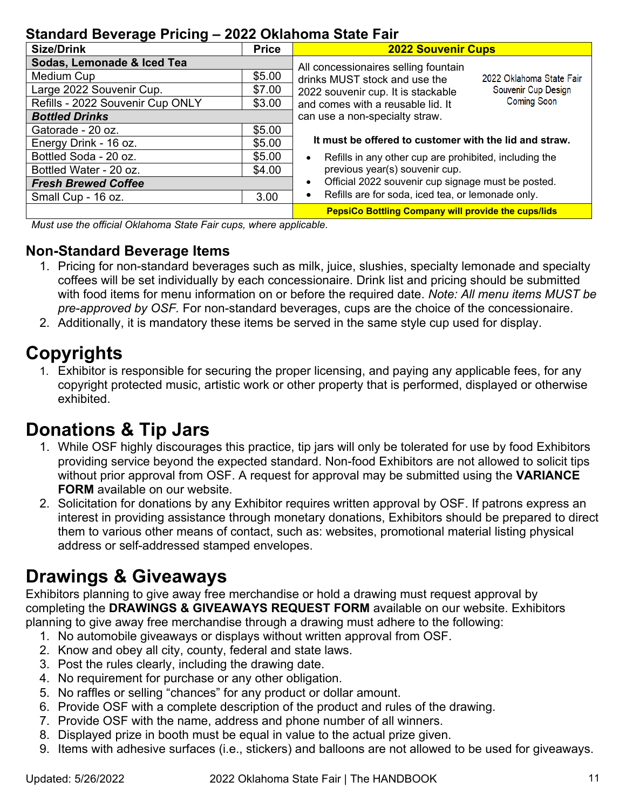#### **Standard Beverage Pricing – 2022 Oklahoma State Fair**

| 0.0110010 DOTO1090 F HOHIS<br>LVLL VIIIUIIVIIIU VIUIV I UI |              |                                                                     |  |  |
|------------------------------------------------------------|--------------|---------------------------------------------------------------------|--|--|
| <b>Size/Drink</b>                                          | <b>Price</b> | <b>2022 Souvenir Cups</b>                                           |  |  |
| Sodas, Lemonade & Iced Tea                                 |              | All concessionaires selling fountain                                |  |  |
| Medium Cup                                                 | \$5.00       | drinks MUST stock and use the<br>2022 Oklahoma State Fair           |  |  |
| Large 2022 Souvenir Cup.                                   | \$7.00       | Souvenir Cup Design<br>2022 souvenir cup. It is stackable           |  |  |
| Refills - 2022 Souvenir Cup ONLY                           | \$3.00       | <b>Coming Soon</b><br>and comes with a reusable lid. It             |  |  |
| <b>Bottled Drinks</b>                                      |              | can use a non-specialty straw.                                      |  |  |
| Gatorade - 20 oz.                                          | \$5.00       |                                                                     |  |  |
| Energy Drink - 16 oz.                                      | \$5.00       | It must be offered to customer with the lid and straw.              |  |  |
| Bottled Soda - 20 oz.                                      | \$5.00       | Refills in any other cup are prohibited, including the<br>$\bullet$ |  |  |
| Bottled Water - 20 oz.                                     | \$4.00       | previous year(s) souvenir cup.                                      |  |  |
| <b>Fresh Brewed Coffee</b>                                 |              | Official 2022 souvenir cup signage must be posted.<br>$\bullet$     |  |  |
| Small Cup - 16 oz.                                         | 3.00         | Refills are for soda, iced tea, or lemonade only.<br>$\bullet$      |  |  |
|                                                            |              | <b>PepsiCo Bottling Company will provide the cups/lids</b>          |  |  |

 *Must use the official Oklahoma State Fair cups, where applicable.*

#### **Non-Standard Beverage Items**

- 1. Pricing for non-standard beverages such as milk, juice, slushies, specialty lemonade and specialty coffees will be set individually by each concessionaire. Drink list and pricing should be submitted with food items for menu information on or before the required date. *Note: All menu items MUST be pre-approved by OSF.* For non-standard beverages, cups are the choice of the concessionaire.
- 2. Additionally, it is mandatory these items be served in the same style cup used for display.

### **Copyrights**

1. Exhibitor is responsible for securing the proper licensing, and paying any applicable fees, for any copyright protected music, artistic work or other property that is performed, displayed or otherwise exhibited.

### **Donations & Tip Jars**

- 1. While OSF highly discourages this practice, tip jars will only be tolerated for use by food Exhibitors providing service beyond the expected standard. Non-food Exhibitors are not allowed to solicit tips without prior approval from OSF. A request for approval may be submitted using the **VARIANCE FORM** available on our website.
- 2. Solicitation for donations by any Exhibitor requires written approval by OSF. If patrons express an interest in providing assistance through monetary donations, Exhibitors should be prepared to direct them to various other means of contact, such as: websites, promotional material listing physical address or self-addressed stamped envelopes.

### **Drawings & Giveaways**

Exhibitors planning to give away free merchandise or hold a drawing must request approval by completing the **DRAWINGS & GIVEAWAYS REQUEST FORM** available on our website. Exhibitors planning to give away free merchandise through a drawing must adhere to the following:

- 1. No automobile giveaways or displays without written approval from OSF.
- 2. Know and obey all city, county, federal and state laws.
- 3. Post the rules clearly, including the drawing date.
- 4. No requirement for purchase or any other obligation.
- 5. No raffles or selling "chances" for any product or dollar amount.
- 6. Provide OSF with a complete description of the product and rules of the drawing.
- 7. Provide OSF with the name, address and phone number of all winners.
- 8. Displayed prize in booth must be equal in value to the actual prize given.
- 9. Items with adhesive surfaces (i.e., stickers) and balloons are not allowed to be used for giveaways.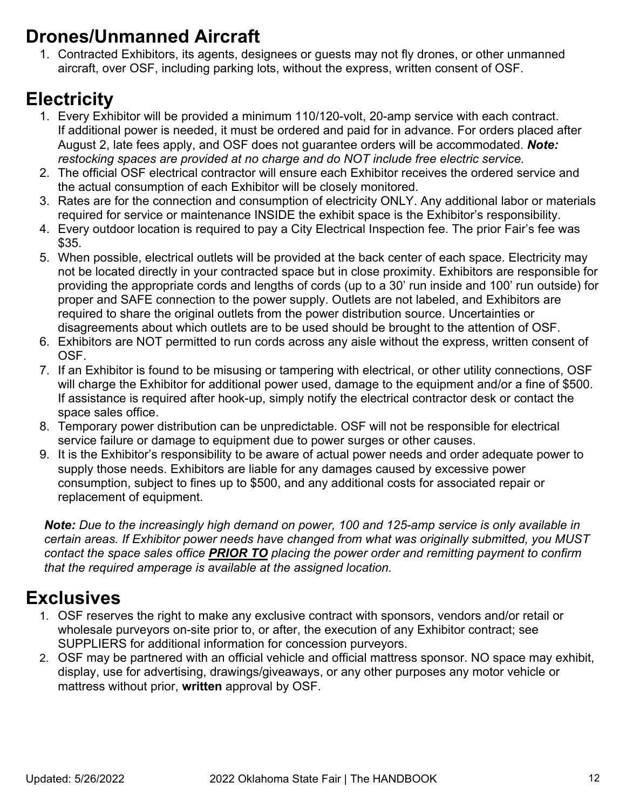### **Drones/Unmanned Aircraft**

1. Contracted Exhibitors, its agents, designees or guests may not fly drones, or other unmanned aircraft, over OSF, including parking lots, without the express, written consent of OSF.

### **Electricity**

- 1. Every Exhibitor will be provided a minimum 110/120-volt, 20-amp service with each contract. If additional power is needed, it must be ordered and paid for in advance. For orders placed after August 2, late fees apply, and OSF does not guarantee orders will be accommodated. *Note: restocking spaces are provided at no charge and do NOT include free electric service.*
- 2. The official OSF electrical contractor will ensure each Exhibitor receives the ordered service and the actual consumption of each Exhibitor will be closely monitored.
- 3. Rates are for the connection and consumption of electricity ONLY. Any additional labor or materials required for service or maintenance INSIDE the exhibit space is the Exhibitor's responsibility.
- 4. Every outdoor location is required to pay a City Electrical Inspection fee. The prior Fair's fee was \$35.
- 5. When possible, electrical outlets will be provided at the back center of each space. Electricity may not be located directly in your contracted space but in close proximity. Exhibitors are responsible for providing the appropriate cords and lengths of cords (up to a 30' run inside and 100' run outside) for proper and SAFE connection to the power supply. Outlets are not labeled, and Exhibitors are required to share the original outlets from the power distribution source. Uncertainties or disagreements about which outlets are to be used should be brought to the attention of OSF.
- 6. Exhibitors are NOT permitted to run cords across any aisle without the express, written consent of OSF.
- 7. If an Exhibitor is found to be misusing or tampering with electrical, or other utility connections, OSF will charge the Exhibitor for additional power used, damage to the equipment and/or a fine of \$500. If assistance is required after hook-up, simply notify the electrical contractor desk or contact the space sales office.
- 8. Temporary power distribution can be unpredictable. OSF will not be responsible for electrical service failure or damage to equipment due to power surges or other causes.
- 9. It is the Exhibitor's responsibility to be aware of actual power needs and order adequate power to supply those needs. Exhibitors are liable for any damages caused by excessive power consumption, subject to fines up to \$500, and any additional costs for associated repair or replacement of equipment.

*Note: Due to the increasingly high demand on power, 100 and 125-amp service is only available in certain areas. If Exhibitor power needs have changed from what was originally submitted, you MUST contact the space sales office PRIOR TO placing the power order and remitting payment to confirm that the required amperage is available at the assigned location.*

### **Exclusives**

- 1. OSF reserves the right to make any exclusive contract with sponsors, vendors and/or retail or wholesale purveyors on-site prior to, or after, the execution of any Exhibitor contract; see SUPPLIERS for additional information for concession purveyors.
- 2. OSF may be partnered with an official vehicle and official mattress sponsor. NO space may exhibit, display, use for advertising, drawings/giveaways, or any other purposes any motor vehicle or mattress without prior, **written** approval by OSF.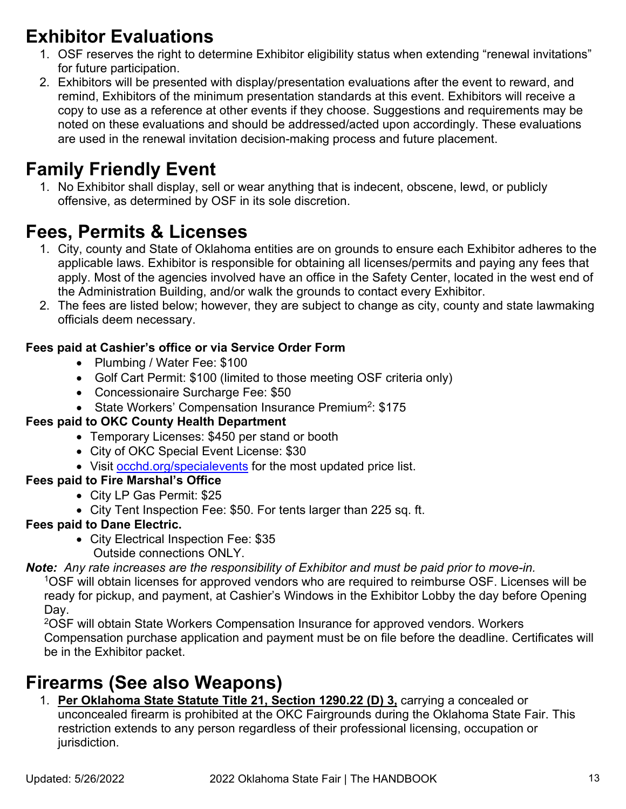### **Exhibitor Evaluations**

- 1. OSF reserves the right to determine Exhibitor eligibility status when extending "renewal invitations" for future participation.
- 2. Exhibitors will be presented with display/presentation evaluations after the event to reward, and remind, Exhibitors of the minimum presentation standards at this event. Exhibitors will receive a copy to use as a reference at other events if they choose. Suggestions and requirements may be noted on these evaluations and should be addressed/acted upon accordingly. These evaluations are used in the renewal invitation decision-making process and future placement.

### **Family Friendly Event**

1. No Exhibitor shall display, sell or wear anything that is indecent, obscene, lewd, or publicly offensive, as determined by OSF in its sole discretion.

### **Fees, Permits & Licenses**

- 1. City, county and State of Oklahoma entities are on grounds to ensure each Exhibitor adheres to the applicable laws. Exhibitor is responsible for obtaining all licenses/permits and paying any fees that apply. Most of the agencies involved have an office in the Safety Center, located in the west end of the Administration Building, and/or walk the grounds to contact every Exhibitor.
- 2. The fees are listed below; however, they are subject to change as city, county and state lawmaking officials deem necessary.

#### **Fees paid at Cashier's office or via Service Order Form**

- Plumbing / Water Fee: \$100
- Golf Cart Permit: \$100 (limited to those meeting OSF criteria only)
- Concessionaire Surcharge Fee: \$50
- State Workers' Compensation Insurance Premium<sup>2</sup>: \$175

#### **Fees paid to OKC County Health Department**

- Temporary Licenses: \$450 per stand or booth
- City of OKC Special Event License: \$30
- Visit [occhd.org/specialevents](https://protect-us.mimecast.com/s/VAzlBpiaXD8fN?domain=occhd.org) for the most updated price list.

#### **Fees paid to Fire Marshal's Office**

- City LP Gas Permit: \$25
- City Tent Inspection Fee: \$50. For tents larger than 225 sq. ft.

#### **Fees paid to Dane Electric.**

- City Electrical Inspection Fee: \$35
	- Outside connections ONLY.

*Note: Any rate increases are the responsibility of Exhibitor and must be paid prior to move-in.*

 1OSF will obtain licenses for approved vendors who are required to reimburse OSF. Licenses will be ready for pickup, and payment, at Cashier's Windows in the Exhibitor Lobby the day before Opening Day.

2OSF will obtain State Workers Compensation Insurance for approved vendors. Workers Compensation purchase application and payment must be on file before the deadline. Certificates will be in the Exhibitor packet.

### **Firearms (See also Weapons)**

1. **Per Oklahoma State Statute Title 21, Section 1290.22 (D) 3,** carrying a concealed or unconcealed firearm is prohibited at the OKC Fairgrounds during the Oklahoma State Fair. This restriction extends to any person regardless of their professional licensing, occupation or jurisdiction.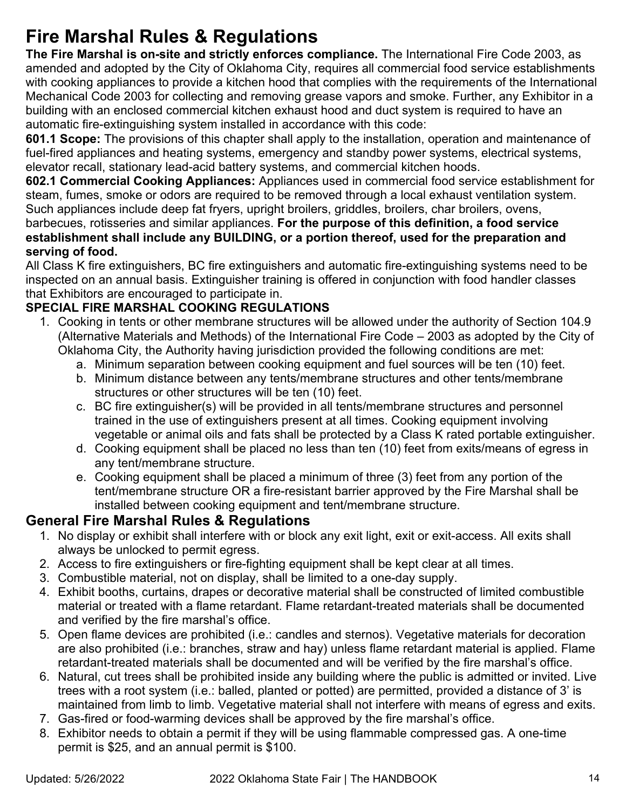### **Fire Marshal Rules & Regulations**

**The Fire Marshal is on-site and strictly enforces compliance.** The International Fire Code 2003, as amended and adopted by the City of Oklahoma City, requires all commercial food service establishments with cooking appliances to provide a kitchen hood that complies with the requirements of the International Mechanical Code 2003 for collecting and removing grease vapors and smoke. Further, any Exhibitor in a building with an enclosed commercial kitchen exhaust hood and duct system is required to have an automatic fire-extinguishing system installed in accordance with this code:

**601.1 Scope:** The provisions of this chapter shall apply to the installation, operation and maintenance of fuel-fired appliances and heating systems, emergency and standby power systems, electrical systems, elevator recall, stationary lead-acid battery systems, and commercial kitchen hoods.

**602.1 Commercial Cooking Appliances:** Appliances used in commercial food service establishment for steam, fumes, smoke or odors are required to be removed through a local exhaust ventilation system. Such appliances include deep fat fryers, upright broilers, griddles, broilers, char broilers, ovens,

barbecues, rotisseries and similar appliances. **For the purpose of this definition, a food service establishment shall include any BUILDING, or a portion thereof, used for the preparation and serving of food.**

All Class K fire extinguishers, BC fire extinguishers and automatic fire-extinguishing systems need to be inspected on an annual basis. Extinguisher training is offered in conjunction with food handler classes that Exhibitors are encouraged to participate in.

#### **SPECIAL FIRE MARSHAL COOKING REGULATIONS**

- 1. Cooking in tents or other membrane structures will be allowed under the authority of Section 104.9 (Alternative Materials and Methods) of the International Fire Code – 2003 as adopted by the City of Oklahoma City, the Authority having jurisdiction provided the following conditions are met:
	- a. Minimum separation between cooking equipment and fuel sources will be ten (10) feet.
	- b. Minimum distance between any tents/membrane structures and other tents/membrane structures or other structures will be ten (10) feet.
	- c. BC fire extinguisher(s) will be provided in all tents/membrane structures and personnel trained in the use of extinguishers present at all times. Cooking equipment involving vegetable or animal oils and fats shall be protected by a Class K rated portable extinguisher.
	- d. Cooking equipment shall be placed no less than ten (10) feet from exits/means of egress in any tent/membrane structure.
	- e. Cooking equipment shall be placed a minimum of three (3) feet from any portion of the tent/membrane structure OR a fire-resistant barrier approved by the Fire Marshal shall be installed between cooking equipment and tent/membrane structure.

#### **General Fire Marshal Rules & Regulations**

- 1. No display or exhibit shall interfere with or block any exit light, exit or exit-access. All exits shall always be unlocked to permit egress.
- 2. Access to fire extinguishers or fire-fighting equipment shall be kept clear at all times.
- 3. Combustible material, not on display, shall be limited to a one-day supply.
- 4. Exhibit booths, curtains, drapes or decorative material shall be constructed of limited combustible material or treated with a flame retardant. Flame retardant-treated materials shall be documented and verified by the fire marshal's office.
- 5. Open flame devices are prohibited (i.e.: candles and sternos). Vegetative materials for decoration are also prohibited (i.e.: branches, straw and hay) unless flame retardant material is applied. Flame retardant-treated materials shall be documented and will be verified by the fire marshal's office.
- 6. Natural, cut trees shall be prohibited inside any building where the public is admitted or invited. Live trees with a root system (i.e.: balled, planted or potted) are permitted, provided a distance of 3' is maintained from limb to limb. Vegetative material shall not interfere with means of egress and exits.
- 7. Gas-fired or food-warming devices shall be approved by the fire marshal's office.
- 8. Exhibitor needs to obtain a permit if they will be using flammable compressed gas. A one-time permit is \$25, and an annual permit is \$100.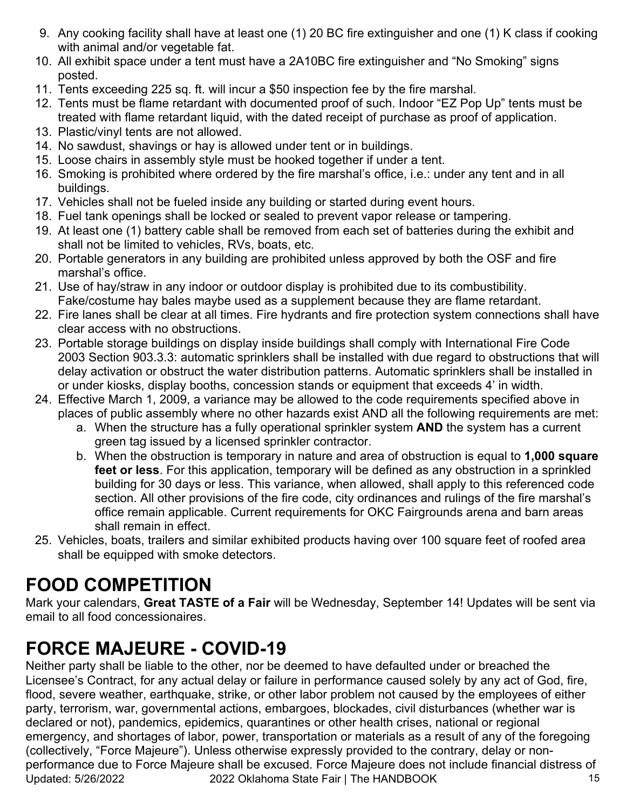- 9. Any cooking facility shall have at least one (1) 20 BC fire extinguisher and one (1) K class if cooking with animal and/or vegetable fat.
- 10. All exhibit space under a tent must have a 2A10BC fire extinguisher and "No Smoking" signs posted.
- 11. Tents exceeding 225 sq. ft. will incur a \$50 inspection fee by the fire marshal.
- 12. Tents must be flame retardant with documented proof of such. Indoor "EZ Pop Up" tents must be treated with flame retardant liquid, with the dated receipt of purchase as proof of application.
- 13. Plastic/vinyl tents are not allowed.
- 14. No sawdust, shavings or hay is allowed under tent or in buildings.
- 15. Loose chairs in assembly style must be hooked together if under a tent.
- 16. Smoking is prohibited where ordered by the fire marshal's office, i.e.: under any tent and in all buildings.
- 17. Vehicles shall not be fueled inside any building or started during event hours.
- 18. Fuel tank openings shall be locked or sealed to prevent vapor release or tampering.
- 19. At least one (1) battery cable shall be removed from each set of batteries during the exhibit and shall not be limited to vehicles, RVs, boats, etc.
- 20. Portable generators in any building are prohibited unless approved by both the OSF and fire marshal's office.
- 21. Use of hay/straw in any indoor or outdoor display is prohibited due to its combustibility. Fake/costume hay bales maybe used as a supplement because they are flame retardant.
- 22. Fire lanes shall be clear at all times. Fire hydrants and fire protection system connections shall have clear access with no obstructions.
- 23. Portable storage buildings on display inside buildings shall comply with International Fire Code 2003 Section 903.3.3: automatic sprinklers shall be installed with due regard to obstructions that will delay activation or obstruct the water distribution patterns. Automatic sprinklers shall be installed in or under kiosks, display booths, concession stands or equipment that exceeds 4' in width.
- 24. Effective March 1, 2009, a variance may be allowed to the code requirements specified above in places of public assembly where no other hazards exist AND all the following requirements are met:
	- a. When the structure has a fully operational sprinkler system **AND** the system has a current green tag issued by a licensed sprinkler contractor.
	- b. When the obstruction is temporary in nature and area of obstruction is equal to **1,000 square feet or less**. For this application, temporary will be defined as any obstruction in a sprinkled building for 30 days or less. This variance, when allowed, shall apply to this referenced code section. All other provisions of the fire code, city ordinances and rulings of the fire marshal's office remain applicable. Current requirements for OKC Fairgrounds arena and barn areas shall remain in effect.
- 25. Vehicles, boats, trailers and similar exhibited products having over 100 square feet of roofed area shall be equipped with smoke detectors.

### **FOOD COMPETITION**

Mark your calendars, **Great TASTE of a Fair** will be Wednesday, September 14! Updates will be sent via email to all food concessionaires.

### **FORCE MAJEURE - COVID-19**

Updated: 5/26/2022 2022 Oklahoma State Fair | The HANDBOOK 15 Neither party shall be liable to the other, nor be deemed to have defaulted under or breached the Licensee's Contract, for any actual delay or failure in performance caused solely by any act of God, fire, flood, severe weather, earthquake, strike, or other labor problem not caused by the employees of either party, terrorism, war, governmental actions, embargoes, blockades, civil disturbances (whether war is declared or not), pandemics, epidemics, quarantines or other health crises, national or regional emergency, and shortages of labor, power, transportation or materials as a result of any of the foregoing (collectively, "Force Majeure"). Unless otherwise expressly provided to the contrary, delay or nonperformance due to Force Majeure shall be excused. Force Majeure does not include financial distress of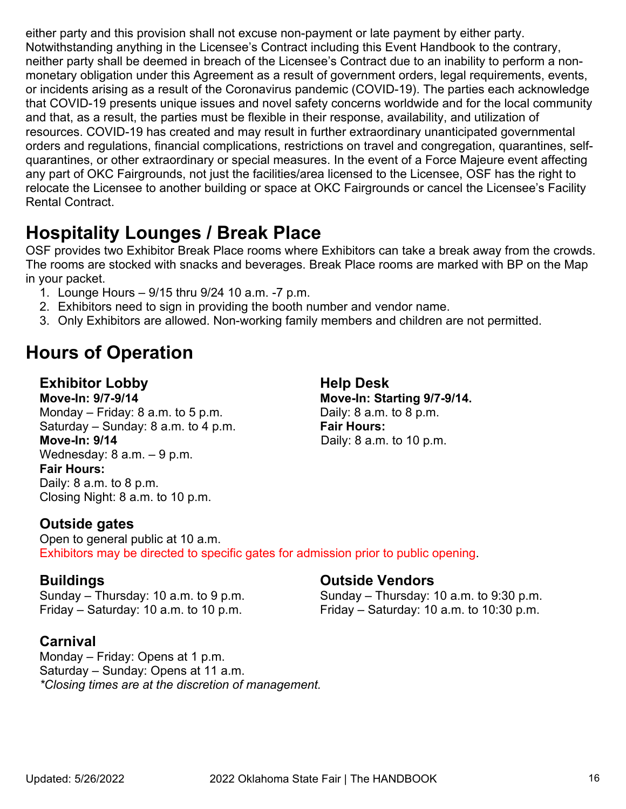either party and this provision shall not excuse non-payment or late payment by either party. Notwithstanding anything in the Licensee's Contract including this Event Handbook to the contrary, neither party shall be deemed in breach of the Licensee's Contract due to an inability to perform a nonmonetary obligation under this Agreement as a result of government orders, legal requirements, events, or incidents arising as a result of the Coronavirus pandemic (COVID-19). The parties each acknowledge that COVID-19 presents unique issues and novel safety concerns worldwide and for the local community and that, as a result, the parties must be flexible in their response, availability, and utilization of resources. COVID-19 has created and may result in further extraordinary unanticipated governmental orders and regulations, financial complications, restrictions on travel and congregation, quarantines, selfquarantines, or other extraordinary or special measures. In the event of a Force Majeure event affecting any part of OKC Fairgrounds, not just the facilities/area licensed to the Licensee, OSF has the right to relocate the Licensee to another building or space at OKC Fairgrounds or cancel the Licensee's Facility Rental Contract.

### **Hospitality Lounges / Break Place**

OSF provides two Exhibitor Break Place rooms where Exhibitors can take a break away from the crowds. The rooms are stocked with snacks and beverages. Break Place rooms are marked with BP on the Map in your packet.

- 1. Lounge Hours 9/15 thru 9/24 10 a.m. -7 p.m.
- 2. Exhibitors need to sign in providing the booth number and vendor name.
- 3. Only Exhibitors are allowed. Non-working family members and children are not permitted.

### **Hours of Operation**

#### **Exhibitor Lobby Help Desk**

**Move-In: 9/7-9/14 Move-In: Starting 9/7-9/14.** Monday – Friday: 8 a.m. to 5 p.m. Saturday – Sunday: 8 a.m. to 4 p.m. **Fair Hours: Move-In: 9/14 Daily: 8 a.m. to 10 p.m.** Wednesday: 8 a.m. – 9 p.m. **Fair Hours:** Daily: 8 a.m. to 8 p.m. Closing Night: 8 a.m. to 10 p.m.

#### **Outside gates**

Open to general public at 10 a.m. Exhibitors may be directed to specific gates for admission prior to public opening.

#### **Carnival**

Monday – Friday: Opens at 1 p.m. Saturday – Sunday: Opens at 11 a.m. *\*Closing times are at the discretion of management.*

#### **Buildings Outside Vendors**

Sunday – Thursday: 10 a.m. to 9 p.m. Sunday – Thursday: 10 a.m. to 9:30 p.m. Friday – Saturday: 10 a.m. to 10 p.m.  $\qquad \qquad$  Friday – Saturday: 10 a.m. to 10:30 p.m.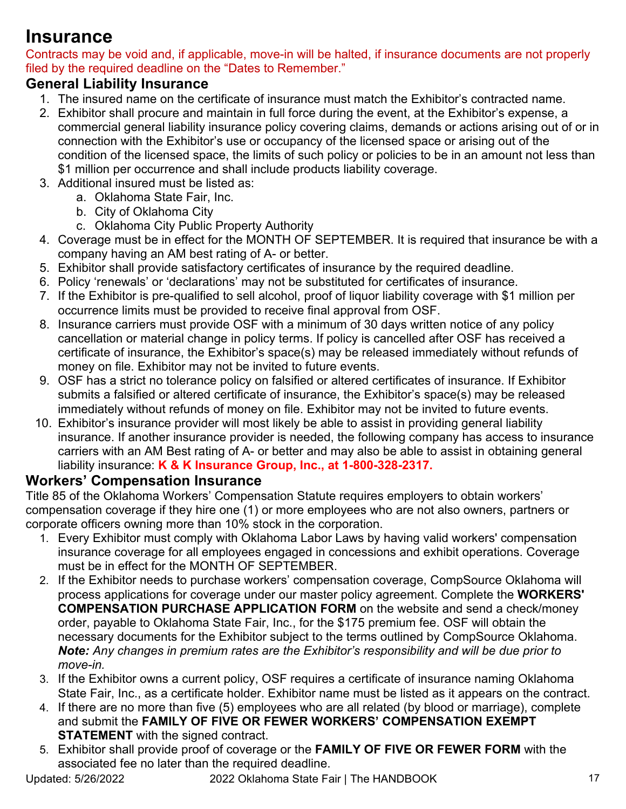### **Insurance**

Contracts may be void and, if applicable, move-in will be halted, if insurance documents are not properly filed by the required deadline on the "Dates to Remember."

#### **General Liability Insurance**

- 1. The insured name on the certificate of insurance must match the Exhibitor's contracted name.
- 2. Exhibitor shall procure and maintain in full force during the event, at the Exhibitor's expense, a commercial general liability insurance policy covering claims, demands or actions arising out of or in connection with the Exhibitor's use or occupancy of the licensed space or arising out of the condition of the licensed space, the limits of such policy or policies to be in an amount not less than \$1 million per occurrence and shall include products liability coverage.
- 3. Additional insured must be listed as:
	- a. Oklahoma State Fair, Inc.
		- b. City of Oklahoma City
		- c. Oklahoma City Public Property Authority
- 4. Coverage must be in effect for the MONTH OF SEPTEMBER. It is required that insurance be with a company having an AM best rating of A- or better.
- 5. Exhibitor shall provide satisfactory certificates of insurance by the required deadline.
- 6. Policy 'renewals' or 'declarations' may not be substituted for certificates of insurance.
- 7. If the Exhibitor is pre-qualified to sell alcohol, proof of liquor liability coverage with \$1 million per occurrence limits must be provided to receive final approval from OSF.
- 8. Insurance carriers must provide OSF with a minimum of 30 days written notice of any policy cancellation or material change in policy terms. If policy is cancelled after OSF has received a certificate of insurance, the Exhibitor's space(s) may be released immediately without refunds of money on file. Exhibitor may not be invited to future events.
- 9. OSF has a strict no tolerance policy on falsified or altered certificates of insurance. If Exhibitor submits a falsified or altered certificate of insurance, the Exhibitor's space(s) may be released immediately without refunds of money on file. Exhibitor may not be invited to future events.
- 10. Exhibitor's insurance provider will most likely be able to assist in providing general liability insurance. If another insurance provider is needed, the following company has access to insurance carriers with an AM Best rating of A- or better and may also be able to assist in obtaining general liability insurance: **K & K Insurance Group, Inc., at 1-800-328-2317.**

#### **Workers' Compensation Insurance**

Title 85 of the Oklahoma Workers' Compensation Statute requires employers to obtain workers' compensation coverage if they hire one (1) or more employees who are not also owners, partners or corporate officers owning more than 10% stock in the corporation.

- 1. Every Exhibitor must comply with Oklahoma Labor Laws by having valid workers' compensation insurance coverage for all employees engaged in concessions and exhibit operations. Coverage must be in effect for the MONTH OF SEPTEMBER.
- 2. If the Exhibitor needs to purchase workers' compensation coverage, CompSource Oklahoma will process applications for coverage under our master policy agreement. Complete the **WORKERS' COMPENSATION PURCHASE APPLICATION FORM** on the website and send a check/money order, payable to Oklahoma State Fair, Inc., for the \$175 premium fee. OSF will obtain the necessary documents for the Exhibitor subject to the terms outlined by CompSource Oklahoma. *Note: Any changes in premium rates are the Exhibitor's responsibility and will be due prior to move-in.*
- 3. If the Exhibitor owns a current policy, OSF requires a certificate of insurance naming Oklahoma State Fair, Inc., as a certificate holder. Exhibitor name must be listed as it appears on the contract.
- 4. If there are no more than five (5) employees who are all related (by blood or marriage), complete and submit the **FAMILY OF FIVE OR FEWER WORKERS' COMPENSATION EXEMPT STATEMENT** with the signed contract.
- 5. Exhibitor shall provide proof of coverage or the **FAMILY OF FIVE OR FEWER FORM** with the associated fee no later than the required deadline.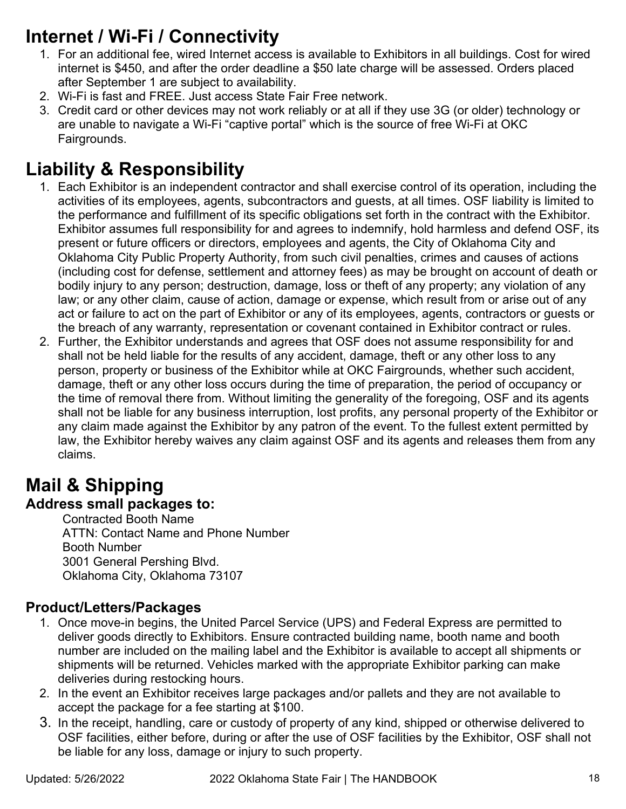### **Internet / Wi-Fi / Connectivity**

- 1. For an additional fee, wired Internet access is available to Exhibitors in all buildings. Cost for wired internet is \$450, and after the order deadline a \$50 late charge will be assessed. Orders placed after September 1 are subject to availability.
- 2. Wi-Fi is fast and FREE. Just access State Fair Free network.
- 3. Credit card or other devices may not work reliably or at all if they use 3G (or older) technology or are unable to navigate a Wi-Fi "captive portal" which is the source of free Wi-Fi at OKC Fairgrounds.

### **Liability & Responsibility**

- 1. Each Exhibitor is an independent contractor and shall exercise control of its operation, including the activities of its employees, agents, subcontractors and guests, at all times. OSF liability is limited to the performance and fulfillment of its specific obligations set forth in the contract with the Exhibitor. Exhibitor assumes full responsibility for and agrees to indemnify, hold harmless and defend OSF, its present or future officers or directors, employees and agents, the City of Oklahoma City and Oklahoma City Public Property Authority, from such civil penalties, crimes and causes of actions (including cost for defense, settlement and attorney fees) as may be brought on account of death or bodily injury to any person; destruction, damage, loss or theft of any property; any violation of any law; or any other claim, cause of action, damage or expense, which result from or arise out of any act or failure to act on the part of Exhibitor or any of its employees, agents, contractors or guests or the breach of any warranty, representation or covenant contained in Exhibitor contract or rules.
- 2. Further, the Exhibitor understands and agrees that OSF does not assume responsibility for and shall not be held liable for the results of any accident, damage, theft or any other loss to any person, property or business of the Exhibitor while at OKC Fairgrounds, whether such accident, damage, theft or any other loss occurs during the time of preparation, the period of occupancy or the time of removal there from. Without limiting the generality of the foregoing, OSF and its agents shall not be liable for any business interruption, lost profits, any personal property of the Exhibitor or any claim made against the Exhibitor by any patron of the event. To the fullest extent permitted by law, the Exhibitor hereby waives any claim against OSF and its agents and releases them from any claims.

# **Mail & Shipping**

### **Address small packages to:**

Contracted Booth Name ATTN: Contact Name and Phone Number Booth Number 3001 General Pershing Blvd. Oklahoma City, Oklahoma 73107

#### **Product/Letters/Packages**

- 1. Once move-in begins, the United Parcel Service (UPS) and Federal Express are permitted to deliver goods directly to Exhibitors. Ensure contracted building name, booth name and booth number are included on the mailing label and the Exhibitor is available to accept all shipments or shipments will be returned. Vehicles marked with the appropriate Exhibitor parking can make deliveries during restocking hours.
- 2. In the event an Exhibitor receives large packages and/or pallets and they are not available to accept the package for a fee starting at \$100.
- 3. In the receipt, handling, care or custody of property of any kind, shipped or otherwise delivered to OSF facilities, either before, during or after the use of OSF facilities by the Exhibitor, OSF shall not be liable for any loss, damage or injury to such property.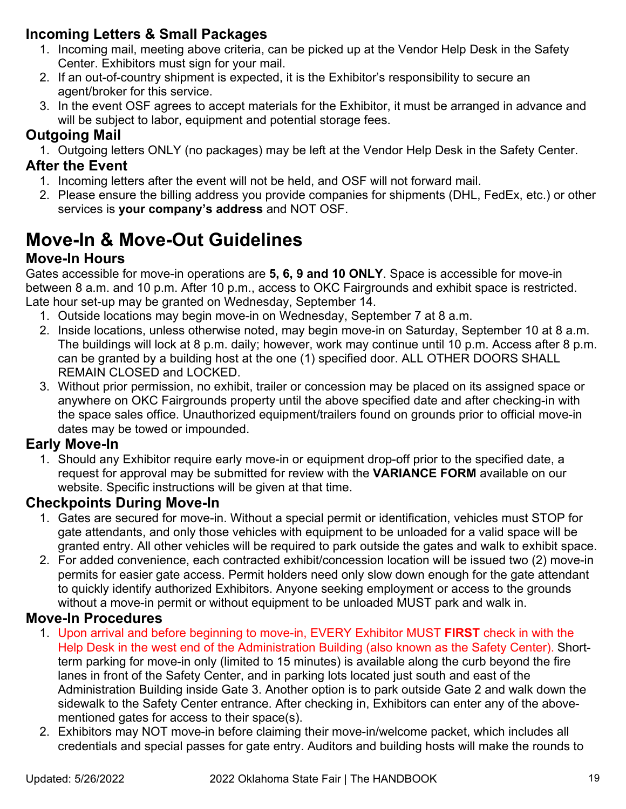#### **Incoming Letters & Small Packages**

- 1. Incoming mail, meeting above criteria, can be picked up at the Vendor Help Desk in the Safety Center. Exhibitors must sign for your mail.
- 2. If an out-of-country shipment is expected, it is the Exhibitor's responsibility to secure an agent/broker for this service.
- 3. In the event OSF agrees to accept materials for the Exhibitor, it must be arranged in advance and will be subject to labor, equipment and potential storage fees.

#### **Outgoing Mail**

1. Outgoing letters ONLY (no packages) may be left at the Vendor Help Desk in the Safety Center.

#### **After the Event**

- 1. Incoming letters after the event will not be held, and OSF will not forward mail.
- 2. Please ensure the billing address you provide companies for shipments (DHL, FedEx, etc.) or other services is **your company's address** and NOT OSF.

### **Move-In & Move-Out Guidelines**

#### **Move-In Hours**

Gates accessible for move-in operations are **5, 6, 9 and 10 ONLY**. Space is accessible for move-in between 8 a.m. and 10 p.m. After 10 p.m., access to OKC Fairgrounds and exhibit space is restricted. Late hour set-up may be granted on Wednesday, September 14.

- 1. Outside locations may begin move-in on Wednesday, September 7 at 8 a.m.
- 2. Inside locations, unless otherwise noted, may begin move-in on Saturday, September 10 at 8 a.m. The buildings will lock at 8 p.m. daily; however, work may continue until 10 p.m. Access after 8 p.m. can be granted by a building host at the one (1) specified door. ALL OTHER DOORS SHALL REMAIN CLOSED and LOCKED.
- 3. Without prior permission, no exhibit, trailer or concession may be placed on its assigned space or anywhere on OKC Fairgrounds property until the above specified date and after checking-in with the space sales office. Unauthorized equipment/trailers found on grounds prior to official move-in dates may be towed or impounded.

#### **Early Move-In**

1. Should any Exhibitor require early move-in or equipment drop-off prior to the specified date, a request for approval may be submitted for review with the **VARIANCE FORM** available on our website. Specific instructions will be given at that time.

#### **Checkpoints During Move-In**

- 1. Gates are secured for move-in. Without a special permit or identification, vehicles must STOP for gate attendants, and only those vehicles with equipment to be unloaded for a valid space will be granted entry. All other vehicles will be required to park outside the gates and walk to exhibit space.
- 2. For added convenience, each contracted exhibit/concession location will be issued two (2) move-in permits for easier gate access. Permit holders need only slow down enough for the gate attendant to quickly identify authorized Exhibitors. Anyone seeking employment or access to the grounds without a move-in permit or without equipment to be unloaded MUST park and walk in.

#### **Move-In Procedures**

- 1. Upon arrival and before beginning to move-in, EVERY Exhibitor MUST **FIRST** check in with the Help Desk in the west end of the Administration Building (also known as the Safety Center). Shortterm parking for move-in only (limited to 15 minutes) is available along the curb beyond the fire lanes in front of the Safety Center, and in parking lots located just south and east of the Administration Building inside Gate 3. Another option is to park outside Gate 2 and walk down the sidewalk to the Safety Center entrance. After checking in, Exhibitors can enter any of the abovementioned gates for access to their space(s).
- 2. Exhibitors may NOT move-in before claiming their move-in/welcome packet, which includes all credentials and special passes for gate entry. Auditors and building hosts will make the rounds to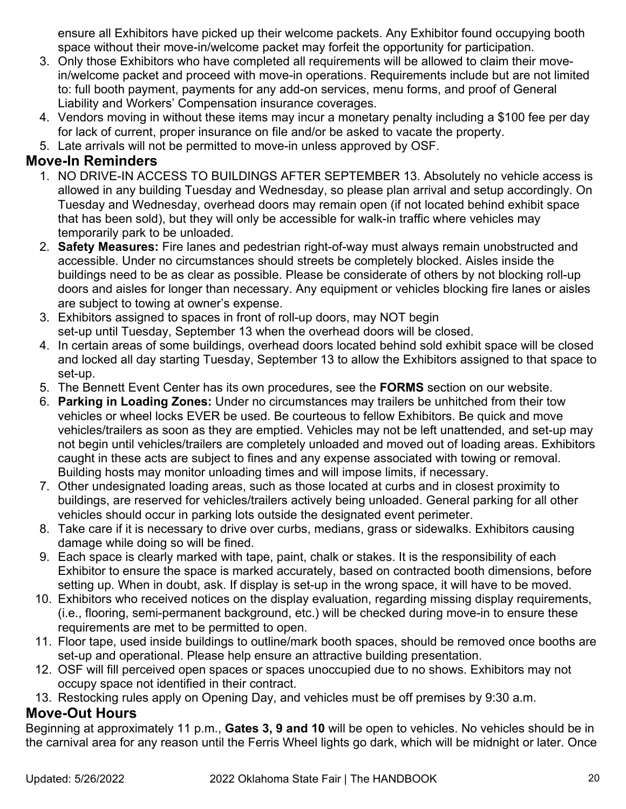ensure all Exhibitors have picked up their welcome packets. Any Exhibitor found occupying booth space without their move-in/welcome packet may forfeit the opportunity for participation.

- 3. Only those Exhibitors who have completed all requirements will be allowed to claim their movein/welcome packet and proceed with move-in operations. Requirements include but are not limited to: full booth payment, payments for any add-on services, menu forms, and proof of General Liability and Workers' Compensation insurance coverages.
- 4. Vendors moving in without these items may incur a monetary penalty including a \$100 fee per day for lack of current, proper insurance on file and/or be asked to vacate the property.
- 5. Late arrivals will not be permitted to move-in unless approved by OSF.

#### **Move-In Reminders**

- 1. NO DRIVE-IN ACCESS TO BUILDINGS AFTER SEPTEMBER 13. Absolutely no vehicle access is allowed in any building Tuesday and Wednesday, so please plan arrival and setup accordingly. On Tuesday and Wednesday, overhead doors may remain open (if not located behind exhibit space that has been sold), but they will only be accessible for walk-in traffic where vehicles may temporarily park to be unloaded.
- 2. **Safety Measures:** Fire lanes and pedestrian right-of-way must always remain unobstructed and accessible. Under no circumstances should streets be completely blocked. Aisles inside the buildings need to be as clear as possible. Please be considerate of others by not blocking roll-up doors and aisles for longer than necessary. Any equipment or vehicles blocking fire lanes or aisles are subject to towing at owner's expense.
- 3. Exhibitors assigned to spaces in front of roll-up doors, may NOT begin set-up until Tuesday, September 13 when the overhead doors will be closed.
- 4. In certain areas of some buildings, overhead doors located behind sold exhibit space will be closed and locked all day starting Tuesday, September 13 to allow the Exhibitors assigned to that space to set-up.
- 5. The Bennett Event Center has its own procedures, see the **FORMS** section on our website.
- 6. **Parking in Loading Zones:** Under no circumstances may trailers be unhitched from their tow vehicles or wheel locks EVER be used. Be courteous to fellow Exhibitors. Be quick and move vehicles/trailers as soon as they are emptied. Vehicles may not be left unattended, and set-up may not begin until vehicles/trailers are completely unloaded and moved out of loading areas. Exhibitors caught in these acts are subject to fines and any expense associated with towing or removal. Building hosts may monitor unloading times and will impose limits, if necessary.
- 7. Other undesignated loading areas, such as those located at curbs and in closest proximity to buildings, are reserved for vehicles/trailers actively being unloaded. General parking for all other vehicles should occur in parking lots outside the designated event perimeter.
- 8. Take care if it is necessary to drive over curbs, medians, grass or sidewalks. Exhibitors causing damage while doing so will be fined.
- 9. Each space is clearly marked with tape, paint, chalk or stakes. It is the responsibility of each Exhibitor to ensure the space is marked accurately, based on contracted booth dimensions, before setting up. When in doubt, ask. If display is set-up in the wrong space, it will have to be moved.
- 10. Exhibitors who received notices on the display evaluation, regarding missing display requirements, (i.e., flooring, semi-permanent background, etc.) will be checked during move-in to ensure these requirements are met to be permitted to open.
- 11. Floor tape, used inside buildings to outline/mark booth spaces, should be removed once booths are set-up and operational. Please help ensure an attractive building presentation.
- 12. OSF will fill perceived open spaces or spaces unoccupied due to no shows. Exhibitors may not occupy space not identified in their contract.
- 13. Restocking rules apply on Opening Day, and vehicles must be off premises by 9:30 a.m.

#### **Move-Out Hours**

Beginning at approximately 11 p.m., **Gates 3, 9 and 10** will be open to vehicles. No vehicles should be in the carnival area for any reason until the Ferris Wheel lights go dark, which will be midnight or later. Once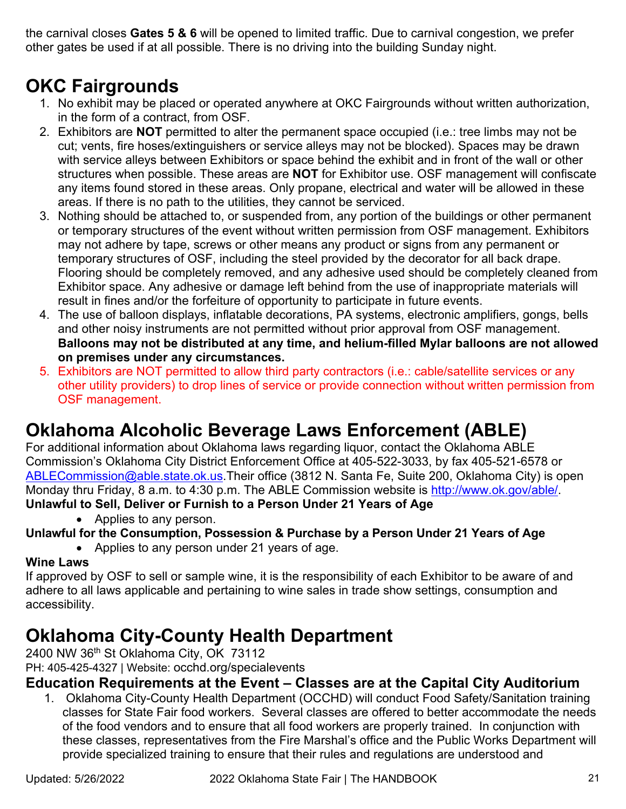the carnival closes **Gates 5 & 6** will be opened to limited traffic. Due to carnival congestion, we prefer other gates be used if at all possible. There is no driving into the building Sunday night.

### **OKC Fairgrounds**

- 1. No exhibit may be placed or operated anywhere at OKC Fairgrounds without written authorization, in the form of a contract, from OSF.
- 2. Exhibitors are **NOT** permitted to alter the permanent space occupied (i.e.: tree limbs may not be cut; vents, fire hoses/extinguishers or service alleys may not be blocked). Spaces may be drawn with service alleys between Exhibitors or space behind the exhibit and in front of the wall or other structures when possible. These areas are **NOT** for Exhibitor use. OSF management will confiscate any items found stored in these areas. Only propane, electrical and water will be allowed in these areas. If there is no path to the utilities, they cannot be serviced.
- 3. Nothing should be attached to, or suspended from, any portion of the buildings or other permanent or temporary structures of the event without written permission from OSF management. Exhibitors may not adhere by tape, screws or other means any product or signs from any permanent or temporary structures of OSF, including the steel provided by the decorator for all back drape. Flooring should be completely removed, and any adhesive used should be completely cleaned from Exhibitor space. Any adhesive or damage left behind from the use of inappropriate materials will result in fines and/or the forfeiture of opportunity to participate in future events.
- 4. The use of balloon displays, inflatable decorations, PA systems, electronic amplifiers, gongs, bells and other noisy instruments are not permitted without prior approval from OSF management. **Balloons may not be distributed at any time, and helium-filled Mylar balloons are not allowed on premises under any circumstances.**
- 5. Exhibitors are NOT permitted to allow third party contractors (i.e.: cable/satellite services or any other utility providers) to drop lines of service or provide connection without written permission from OSF management.

### **Oklahoma Alcoholic Beverage Laws Enforcement (ABLE)**

For additional information about Oklahoma laws regarding liquor, contact the Oklahoma ABLE Commission's Oklahoma City District Enforcement Office at 405-522-3033, by fax 405-521-6578 or [ABLECommission@able.state.ok.us.](mailto:ABLECommission@able.state.ok.us)Their office (3812 N. Santa Fe, Suite 200, Oklahoma City) is open Monday thru Friday, 8 a.m. to 4:30 p.m. The ABLE Commission website is [http://www.ok.gov/able/.](http://www.ok.gov/able/index.html) **Unlawful to Sell, Deliver or Furnish to a Person Under 21 Years of Age**

• Applies to any person.

#### **Unlawful for the Consumption, Possession & Purchase by a Person Under 21 Years of Age**

• Applies to any person under 21 years of age.

#### **Wine Laws**

If approved by OSF to sell or sample wine, it is the responsibility of each Exhibitor to be aware of and adhere to all laws applicable and pertaining to wine sales in trade show settings, consumption and accessibility.

### **Oklahoma City-County Health Department**

2400 NW 36th St Oklahoma City, OK 73112

PH: 405-425-4327 | Website: occhd.org/specialevents

#### **Education Requirements at the Event – Classes are at the Capital City Auditorium**

1. Oklahoma City-County Health Department (OCCHD) will conduct Food Safety/Sanitation training classes for State Fair food workers. Several classes are offered to better accommodate the needs of the food vendors and to ensure that all food workers are properly trained. In conjunction with these classes, representatives from the Fire Marshal's office and the Public Works Department will provide specialized training to ensure that their rules and regulations are understood and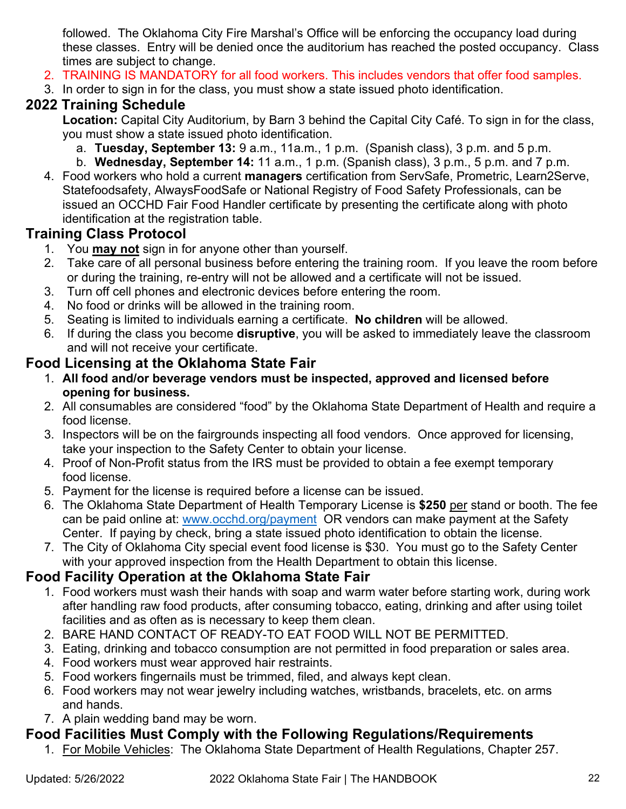followed. The Oklahoma City Fire Marshal's Office will be enforcing the occupancy load during these classes. Entry will be denied once the auditorium has reached the posted occupancy. Class times are subject to change.

- 2. TRAINING IS MANDATORY for all food workers. This includes vendors that offer food samples.
- 3. In order to sign in for the class, you must show a state issued photo identification.

#### **2022 Training Schedule**

**Location:** Capital City Auditorium, by Barn 3 behind the Capital City Café. To sign in for the class, you must show a state issued photo identification.

- a. **Tuesday, September 13:** 9 a.m., 11a.m., 1 p.m. (Spanish class), 3 p.m. and 5 p.m.
- b. **Wednesday, September 14:** 11 a.m., 1 p.m. (Spanish class), 3 p.m., 5 p.m. and 7 p.m.
- 4. Food workers who hold a current **managers** certification from ServSafe, Prometric, Learn2Serve, Statefoodsafety, AlwaysFoodSafe or National Registry of Food Safety Professionals, can be issued an OCCHD Fair Food Handler certificate by presenting the certificate along with photo identification at the registration table.

#### **Training Class Protocol**

- 1. You **may not** sign in for anyone other than yourself.
- 2. Take care of all personal business before entering the training room. If you leave the room before or during the training, re-entry will not be allowed and a certificate will not be issued.
- 3. Turn off cell phones and electronic devices before entering the room.
- 4. No food or drinks will be allowed in the training room.
- 5. Seating is limited to individuals earning a certificate. **No children** will be allowed.
- 6. If during the class you become **disruptive**, you will be asked to immediately leave the classroom and will not receive your certificate.

#### **Food Licensing at the Oklahoma State Fair**

- 1. **All food and/or beverage vendors must be inspected, approved and licensed before opening for business.**
- 2. All consumables are considered "food" by the Oklahoma State Department of Health and require a food license.
- 3. Inspectors will be on the fairgrounds inspecting all food vendors. Once approved for licensing, take your inspection to the Safety Center to obtain your license.
- 4. Proof of Non-Profit status from the IRS must be provided to obtain a fee exempt temporary food license.
- 5. Payment for the license is required before a license can be issued.
- 6. The Oklahoma State Department of Health Temporary License is **\$250** per stand or booth. The fee can be paid online at: [www.occhd.org/payment](http://www.occhd.org/payment) OR vendors can make payment at the Safety Center. If paying by check, bring a state issued photo identification to obtain the license.
- 7. The City of Oklahoma City special event food license is \$30. You must go to the Safety Center with your approved inspection from the Health Department to obtain this license.

#### **Food Facility Operation at the Oklahoma State Fair**

- 1. Food workers must wash their hands with soap and warm water before starting work, during work after handling raw food products, after consuming tobacco, eating, drinking and after using toilet facilities and as often as is necessary to keep them clean.
- 2. BARE HAND CONTACT OF READY-TO EAT FOOD WILL NOT BE PERMITTED.
- 3. Eating, drinking and tobacco consumption are not permitted in food preparation or sales area.
- 4. Food workers must wear approved hair restraints.
- 5. Food workers fingernails must be trimmed, filed, and always kept clean.
- 6. Food workers may not wear jewelry including watches, wristbands, bracelets, etc. on arms and hands.
- 7. A plain wedding band may be worn.

#### **Food Facilities Must Comply with the Following Regulations/Requirements**

1. For Mobile Vehicles: The Oklahoma State Department of Health Regulations, Chapter 257.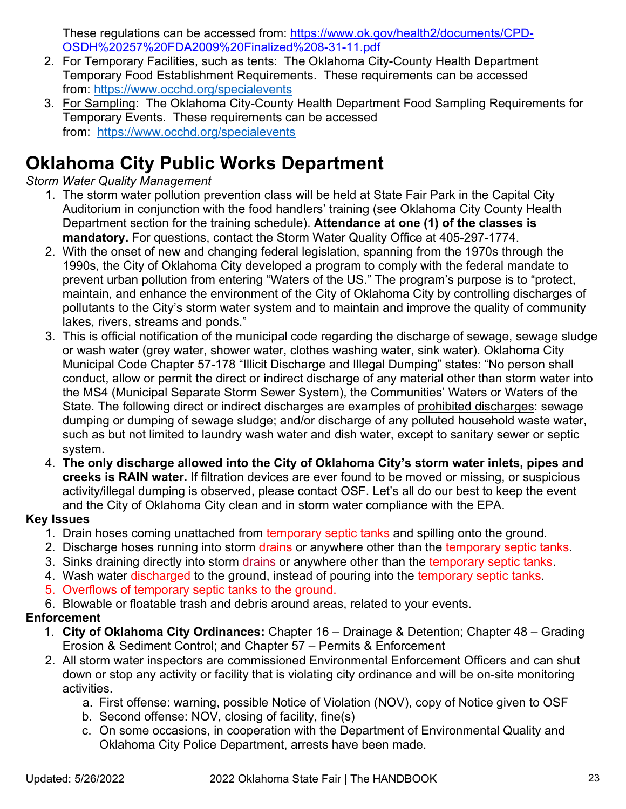These regulations can be accessed from: [https://www.ok.gov/health2/documents/CPD-](https://www.ok.gov/health2/documents/CPD-OSDH%20257%20FDA2009%20Finalized%208-31-11.pdf)[OSDH%20257%20FDA2009%20Finalized%208-31-11.pdf](https://www.ok.gov/health2/documents/CPD-OSDH%20257%20FDA2009%20Finalized%208-31-11.pdf)

- 2. For Temporary Facilities, such as tents: The Oklahoma City-County Health Department Temporary Food Establishment Requirements. These requirements can be accessed from:<https://www.occhd.org/specialevents>
- 3. For Sampling: The Oklahoma City-County Health Department Food Sampling Requirements for Temporary Events. These requirements can be accessed from: <https://www.occhd.org/specialevents>

### **Oklahoma City Public Works Department**

#### *Storm Water Quality Management*

- 1. The storm water pollution prevention class will be held at State Fair Park in the Capital City Auditorium in conjunction with the food handlers' training (see Oklahoma City County Health Department section for the training schedule). **Attendance at one (1) of the classes is mandatory.** For questions, contact the Storm Water Quality Office at 405-297-1774.
- 2. With the onset of new and changing federal legislation, spanning from the 1970s through the 1990s, the City of Oklahoma City developed a program to comply with the federal mandate to prevent urban pollution from entering "Waters of the US." The program's purpose is to "protect, maintain, and enhance the environment of the City of Oklahoma City by controlling discharges of pollutants to the City's storm water system and to maintain and improve the quality of community lakes, rivers, streams and ponds."
- 3. This is official notification of the municipal code regarding the discharge of sewage, sewage sludge or wash water (grey water, shower water, clothes washing water, sink water). Oklahoma City Municipal Code Chapter 57-178 "Illicit Discharge and Illegal Dumping" states: "No person shall conduct, allow or permit the direct or indirect discharge of any material other than storm water into the MS4 (Municipal Separate Storm Sewer System), the Communities' Waters or Waters of the State. The following direct or indirect discharges are examples of prohibited discharges: sewage dumping or dumping of sewage sludge; and/or discharge of any polluted household waste water, such as but not limited to laundry wash water and dish water, except to sanitary sewer or septic system.
- 4. **The only discharge allowed into the City of Oklahoma City's storm water inlets, pipes and creeks is RAIN water.** If filtration devices are ever found to be moved or missing, or suspicious activity/illegal dumping is observed, please contact OSF. Let's all do our best to keep the event and the City of Oklahoma City clean and in storm water compliance with the EPA.

#### **Key Issues**

- 1. Drain hoses coming unattached from temporary septic tanks and spilling onto the ground.
- 2. Discharge hoses running into storm drains or anywhere other than the temporary septic tanks.
- 3. Sinks draining directly into storm drains or anywhere other than the temporary septic tanks.
- 4. Wash water discharged to the ground, instead of pouring into the temporary septic tanks.
- 5. Overflows of temporary septic tanks to the ground.
- 6. Blowable or floatable trash and debris around areas, related to your events.

#### **Enforcement**

- 1. **City of Oklahoma City Ordinances:** Chapter 16 Drainage & Detention; Chapter 48 Grading Erosion & Sediment Control; and Chapter 57 – Permits & Enforcement
- 2. All storm water inspectors are commissioned Environmental Enforcement Officers and can shut down or stop any activity or facility that is violating city ordinance and will be on-site monitoring activities.
	- a. First offense: warning, possible Notice of Violation (NOV), copy of Notice given to OSF
	- b. Second offense: NOV, closing of facility, fine(s)
	- c. On some occasions, in cooperation with the Department of Environmental Quality and Oklahoma City Police Department, arrests have been made.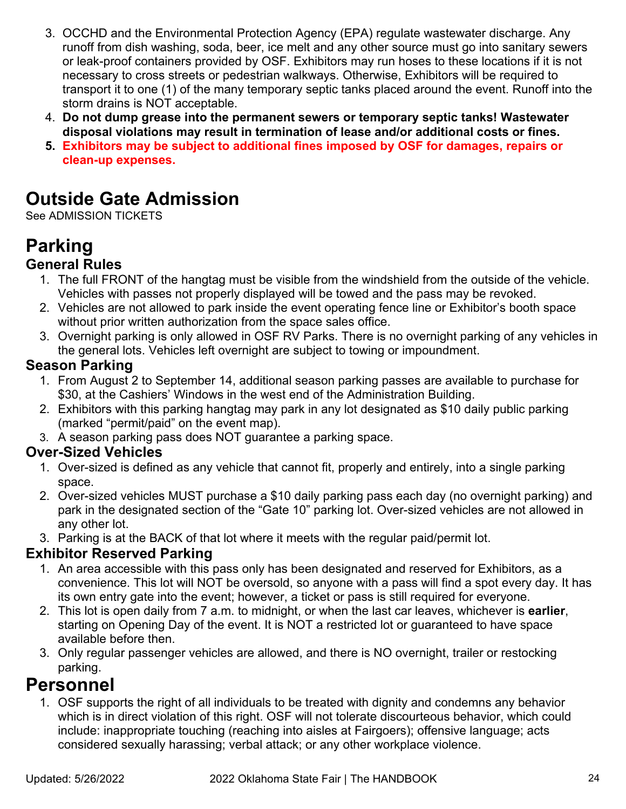- 3. OCCHD and the Environmental Protection Agency (EPA) regulate wastewater discharge. Any runoff from dish washing, soda, beer, ice melt and any other source must go into sanitary sewers or leak-proof containers provided by OSF. Exhibitors may run hoses to these locations if it is not necessary to cross streets or pedestrian walkways. Otherwise, Exhibitors will be required to transport it to one (1) of the many temporary septic tanks placed around the event. Runoff into the storm drains is NOT acceptable.
- 4. **Do not dump grease into the permanent sewers or temporary septic tanks! Wastewater disposal violations may result in termination of lease and/or additional costs or fines.**
- **5. Exhibitors may be subject to additional fines imposed by OSF for damages, repairs or clean-up expenses.**

### **Outside Gate Admission**

See ADMISSION TICKETS

# **Parking**

### **General Rules**

- 1. The full FRONT of the hangtag must be visible from the windshield from the outside of the vehicle. Vehicles with passes not properly displayed will be towed and the pass may be revoked.
- 2. Vehicles are not allowed to park inside the event operating fence line or Exhibitor's booth space without prior written authorization from the space sales office.
- 3. Overnight parking is only allowed in OSF RV Parks. There is no overnight parking of any vehicles in the general lots. Vehicles left overnight are subject to towing or impoundment.

### **Season Parking**

- 1. From August 2 to September 14, additional season parking passes are available to purchase for \$30, at the Cashiers' Windows in the west end of the Administration Building.
- 2. Exhibitors with this parking hangtag may park in any lot designated as \$10 daily public parking (marked "permit/paid" on the event map).
- 3. A season parking pass does NOT guarantee a parking space.

#### **Over-Sized Vehicles**

- 1. Over-sized is defined as any vehicle that cannot fit, properly and entirely, into a single parking space.
- 2. Over-sized vehicles MUST purchase a \$10 daily parking pass each day (no overnight parking) and park in the designated section of the "Gate 10" parking lot. Over-sized vehicles are not allowed in any other lot.
- 3. Parking is at the BACK of that lot where it meets with the regular paid/permit lot.

#### **Exhibitor Reserved Parking**

- 1. An area accessible with this pass only has been designated and reserved for Exhibitors, as a convenience. This lot will NOT be oversold, so anyone with a pass will find a spot every day. It has its own entry gate into the event; however, a ticket or pass is still required for everyone.
- 2. This lot is open daily from 7 a.m. to midnight, or when the last car leaves, whichever is **earlier**, starting on Opening Day of the event. It is NOT a restricted lot or guaranteed to have space available before then.
- 3. Only regular passenger vehicles are allowed, and there is NO overnight, trailer or restocking parking.

### **Personnel**

1. OSF supports the right of all individuals to be treated with dignity and condemns any behavior which is in direct violation of this right. OSF will not tolerate discourteous behavior, which could include: inappropriate touching (reaching into aisles at Fairgoers); offensive language; acts considered sexually harassing; verbal attack; or any other workplace violence.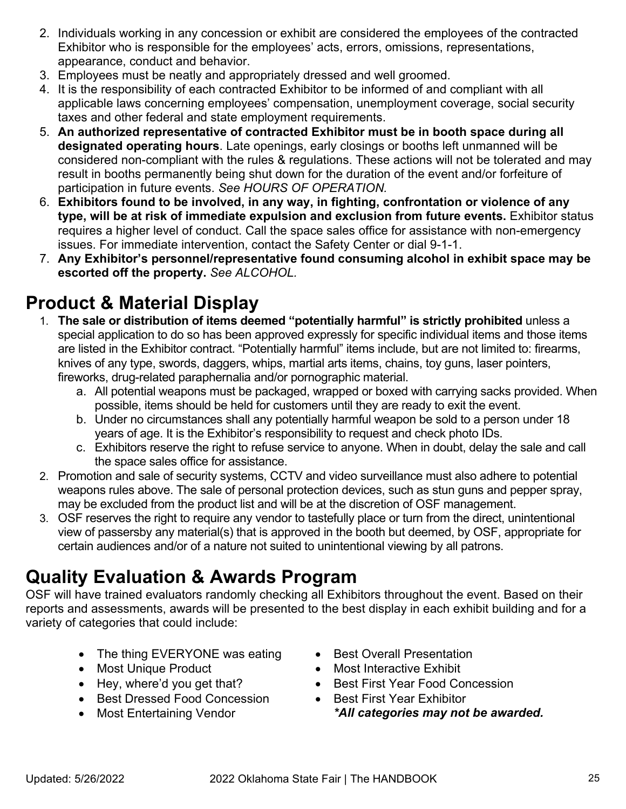- 2. Individuals working in any concession or exhibit are considered the employees of the contracted Exhibitor who is responsible for the employees' acts, errors, omissions, representations, appearance, conduct and behavior.
- 3. Employees must be neatly and appropriately dressed and well groomed.
- 4. It is the responsibility of each contracted Exhibitor to be informed of and compliant with all applicable laws concerning employees' compensation, unemployment coverage, social security taxes and other federal and state employment requirements.
- 5. **An authorized representative of contracted Exhibitor must be in booth space during all designated operating hours**. Late openings, early closings or booths left unmanned will be considered non-compliant with the rules & regulations. These actions will not be tolerated and may result in booths permanently being shut down for the duration of the event and/or forfeiture of participation in future events. *See HOURS OF OPERATION.*
- 6. **Exhibitors found to be involved, in any way, in fighting, confrontation or violence of any type, will be at risk of immediate expulsion and exclusion from future events.** Exhibitor status requires a higher level of conduct. Call the space sales office for assistance with non-emergency issues. For immediate intervention, contact the Safety Center or dial 9-1-1.
- 7. **Any Exhibitor's personnel/representative found consuming alcohol in exhibit space may be escorted off the property.** *See ALCOHOL.*

### **Product & Material Display**

- 1. **The sale or distribution of items deemed "potentially harmful" is strictly prohibited** unless a special application to do so has been approved expressly for specific individual items and those items are listed in the Exhibitor contract. "Potentially harmful" items include, but are not limited to: firearms, knives of any type, swords, daggers, whips, martial arts items, chains, toy guns, laser pointers, fireworks, drug-related paraphernalia and/or pornographic material.
	- a. All potential weapons must be packaged, wrapped or boxed with carrying sacks provided. When possible, items should be held for customers until they are ready to exit the event.
	- b. Under no circumstances shall any potentially harmful weapon be sold to a person under 18 years of age. It is the Exhibitor's responsibility to request and check photo IDs.
	- c. Exhibitors reserve the right to refuse service to anyone. When in doubt, delay the sale and call the space sales office for assistance.
- 2. Promotion and sale of security systems, CCTV and video surveillance must also adhere to potential weapons rules above. The sale of personal protection devices, such as stun guns and pepper spray, may be excluded from the product list and will be at the discretion of OSF management.
- 3. OSF reserves the right to require any vendor to tastefully place or turn from the direct, unintentional view of passersby any material(s) that is approved in the booth but deemed, by OSF, appropriate for certain audiences and/or of a nature not suited to unintentional viewing by all patrons.

### **Quality Evaluation & Awards Program**

OSF will have trained evaluators randomly checking all Exhibitors throughout the event. Based on their reports and assessments, awards will be presented to the best display in each exhibit building and for a variety of categories that could include:

- The thing EVERYONE was eating
- Most Unique Product
- Hey, where'd you get that?
- Best Dressed Food Concession
- Most Entertaining Vendor
- Best Overall Presentation
- Most Interactive Exhibit
- Best First Year Food Concession
- Best First Year Exhibitor *\*All categories may not be awarded.*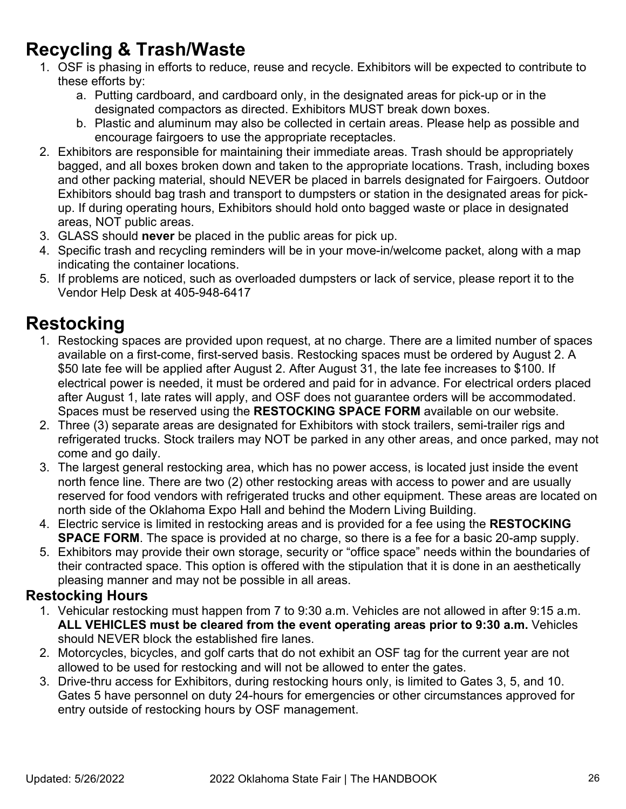### **Recycling & Trash/Waste**

- 1. OSF is phasing in efforts to reduce, reuse and recycle. Exhibitors will be expected to contribute to these efforts by:
	- a. Putting cardboard, and cardboard only, in the designated areas for pick-up or in the designated compactors as directed. Exhibitors MUST break down boxes.
	- b. Plastic and aluminum may also be collected in certain areas. Please help as possible and encourage fairgoers to use the appropriate receptacles.
- 2. Exhibitors are responsible for maintaining their immediate areas. Trash should be appropriately bagged, and all boxes broken down and taken to the appropriate locations. Trash, including boxes and other packing material, should NEVER be placed in barrels designated for Fairgoers. Outdoor Exhibitors should bag trash and transport to dumpsters or station in the designated areas for pickup. If during operating hours, Exhibitors should hold onto bagged waste or place in designated areas, NOT public areas.
- 3. GLASS should **never** be placed in the public areas for pick up.
- 4. Specific trash and recycling reminders will be in your move-in/welcome packet, along with a map indicating the container locations.
- 5. If problems are noticed, such as overloaded dumpsters or lack of service, please report it to the Vendor Help Desk at 405-948-6417

### **Restocking**

- 1. Restocking spaces are provided upon request, at no charge. There are a limited number of spaces available on a first-come, first-served basis. Restocking spaces must be ordered by August 2. A \$50 late fee will be applied after August 2. After August 31, the late fee increases to \$100. If electrical power is needed, it must be ordered and paid for in advance. For electrical orders placed after August 1, late rates will apply, and OSF does not guarantee orders will be accommodated. Spaces must be reserved using the **RESTOCKING SPACE FORM** available on our website.
- 2. Three (3) separate areas are designated for Exhibitors with stock trailers, semi-trailer rigs and refrigerated trucks. Stock trailers may NOT be parked in any other areas, and once parked, may not come and go daily.
- 3. The largest general restocking area, which has no power access, is located just inside the event north fence line. There are two (2) other restocking areas with access to power and are usually reserved for food vendors with refrigerated trucks and other equipment. These areas are located on north side of the Oklahoma Expo Hall and behind the Modern Living Building.
- 4. Electric service is limited in restocking areas and is provided for a fee using the **RESTOCKING SPACE FORM**. The space is provided at no charge, so there is a fee for a basic 20-amp supply.
- 5. Exhibitors may provide their own storage, security or "office space" needs within the boundaries of their contracted space. This option is offered with the stipulation that it is done in an aesthetically pleasing manner and may not be possible in all areas.

#### **Restocking Hours**

- 1. Vehicular restocking must happen from 7 to 9:30 a.m. Vehicles are not allowed in after 9:15 a.m. **ALL VEHICLES must be cleared from the event operating areas prior to 9:30 a.m.** Vehicles should NEVER block the established fire lanes.
- 2. Motorcycles, bicycles, and golf carts that do not exhibit an OSF tag for the current year are not allowed to be used for restocking and will not be allowed to enter the gates.
- 3. Drive-thru access for Exhibitors, during restocking hours only, is limited to Gates 3, 5, and 10. Gates 5 have personnel on duty 24-hours for emergencies or other circumstances approved for entry outside of restocking hours by OSF management.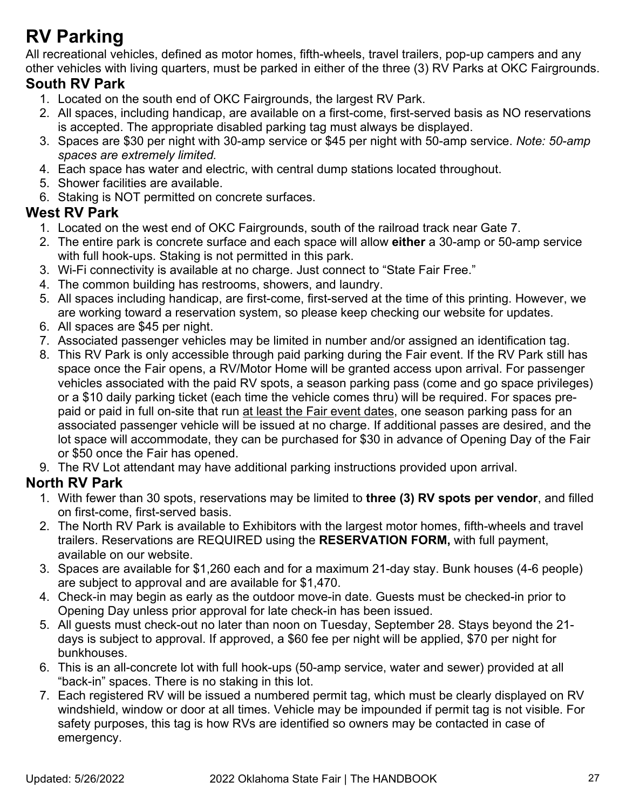### **RV Parking**

All recreational vehicles, defined as motor homes, fifth-wheels, travel trailers, pop-up campers and any other vehicles with living quarters, must be parked in either of the three (3) RV Parks at OKC Fairgrounds.

#### **South RV Park**

- 1. Located on the south end of OKC Fairgrounds, the largest RV Park.
- 2. All spaces, including handicap, are available on a first-come, first-served basis as NO reservations is accepted. The appropriate disabled parking tag must always be displayed.
- 3. Spaces are \$30 per night with 30-amp service or \$45 per night with 50-amp service. *Note: 50-amp spaces are extremely limited.*
- 4. Each space has water and electric, with central dump stations located throughout.
- 5. Shower facilities are available.
- 6. Staking is NOT permitted on concrete surfaces.

#### **West RV Park**

- 1. Located on the west end of OKC Fairgrounds, south of the railroad track near Gate 7.
- 2. The entire park is concrete surface and each space will allow **either** a 30-amp or 50-amp service with full hook-ups. Staking is not permitted in this park.
- 3. Wi-Fi connectivity is available at no charge. Just connect to "State Fair Free."
- 4. The common building has restrooms, showers, and laundry.
- 5. All spaces including handicap, are first-come, first-served at the time of this printing. However, we are working toward a reservation system, so please keep checking our website for updates.
- 6. All spaces are \$45 per night.
- 7. Associated passenger vehicles may be limited in number and/or assigned an identification tag.
- 8. This RV Park is only accessible through paid parking during the Fair event. If the RV Park still has space once the Fair opens, a RV/Motor Home will be granted access upon arrival. For passenger vehicles associated with the paid RV spots, a season parking pass (come and go space privileges) or a \$10 daily parking ticket (each time the vehicle comes thru) will be required. For spaces prepaid or paid in full on-site that run at least the Fair event dates, one season parking pass for an associated passenger vehicle will be issued at no charge. If additional passes are desired, and the lot space will accommodate, they can be purchased for \$30 in advance of Opening Day of the Fair or \$50 once the Fair has opened.
- 9. The RV Lot attendant may have additional parking instructions provided upon arrival.

#### **North RV Park**

- 1. With fewer than 30 spots, reservations may be limited to **three (3) RV spots per vendor**, and filled on first-come, first-served basis.
- 2. The North RV Park is available to Exhibitors with the largest motor homes, fifth-wheels and travel trailers. Reservations are REQUIRED using the **RESERVATION FORM,** with full payment, available on our website.
- 3. Spaces are available for \$1,260 each and for a maximum 21-day stay. Bunk houses (4-6 people) are subject to approval and are available for \$1,470.
- 4. Check-in may begin as early as the outdoor move-in date. Guests must be checked-in prior to Opening Day unless prior approval for late check-in has been issued.
- 5. All guests must check-out no later than noon on Tuesday, September 28. Stays beyond the 21 days is subject to approval. If approved, a \$60 fee per night will be applied, \$70 per night for bunkhouses.
- 6. This is an all-concrete lot with full hook-ups (50-amp service, water and sewer) provided at all "back-in" spaces. There is no staking in this lot.
- 7. Each registered RV will be issued a numbered permit tag, which must be clearly displayed on RV windshield, window or door at all times. Vehicle may be impounded if permit tag is not visible. For safety purposes, this tag is how RVs are identified so owners may be contacted in case of emergency.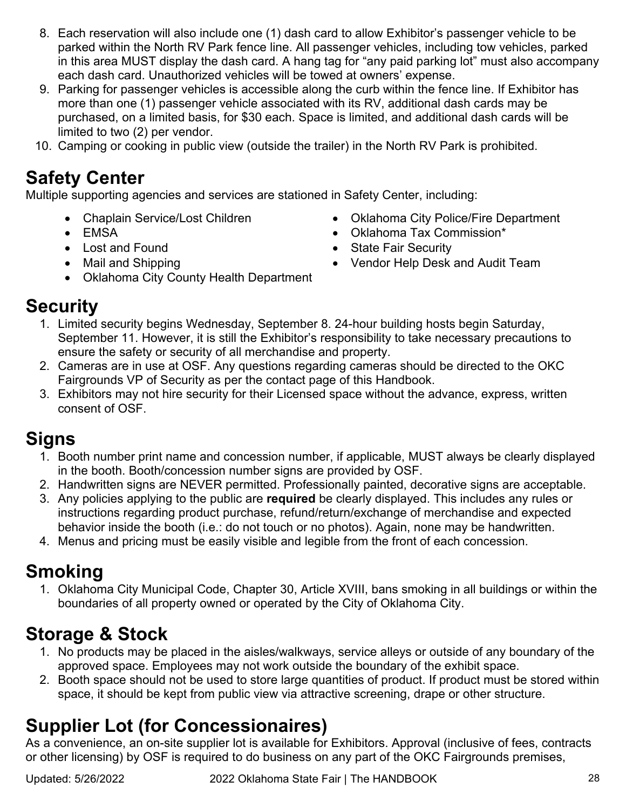- 8. Each reservation will also include one (1) dash card to allow Exhibitor's passenger vehicle to be parked within the North RV Park fence line. All passenger vehicles, including tow vehicles, parked in this area MUST display the dash card. A hang tag for "any paid parking lot" must also accompany each dash card. Unauthorized vehicles will be towed at owners' expense.
- 9. Parking for passenger vehicles is accessible along the curb within the fence line. If Exhibitor has more than one (1) passenger vehicle associated with its RV, additional dash cards may be purchased, on a limited basis, for \$30 each. Space is limited, and additional dash cards will be limited to two (2) per vendor.
- 10. Camping or cooking in public view (outside the trailer) in the North RV Park is prohibited.

### **Safety Center**

Multiple supporting agencies and services are stationed in Safety Center, including:

- Chaplain Service/Lost Children
- EMSA
- Lost and Found
- Mail and Shipping
- Oklahoma City County Health Department
- Oklahoma City Police/Fire Department
- Oklahoma Tax Commission\*
- State Fair Security
- Vendor Help Desk and Audit Team

### **Security**

- 1. Limited security begins Wednesday, September 8. 24-hour building hosts begin Saturday, September 11. However, it is still the Exhibitor's responsibility to take necessary precautions to ensure the safety or security of all merchandise and property.
- 2. Cameras are in use at OSF. Any questions regarding cameras should be directed to the OKC Fairgrounds VP of Security as per the contact page of this Handbook.
- 3. Exhibitors may not hire security for their Licensed space without the advance, express, written consent of OSF.

### **Signs**

- 1. Booth number print name and concession number, if applicable, MUST always be clearly displayed in the booth. Booth/concession number signs are provided by OSF.
- 2. Handwritten signs are NEVER permitted. Professionally painted, decorative signs are acceptable.
- 3. Any policies applying to the public are **required** be clearly displayed. This includes any rules or instructions regarding product purchase, refund/return/exchange of merchandise and expected behavior inside the booth (i.e.: do not touch or no photos). Again, none may be handwritten.
- 4. Menus and pricing must be easily visible and legible from the front of each concession.

### **Smoking**

1. Oklahoma City Municipal Code, Chapter 30, Article XVIII, bans smoking in all buildings or within the boundaries of all property owned or operated by the City of Oklahoma City.

### **Storage & Stock**

- 1. No products may be placed in the aisles/walkways, service alleys or outside of any boundary of the approved space. Employees may not work outside the boundary of the exhibit space.
- 2. Booth space should not be used to store large quantities of product. If product must be stored within space, it should be kept from public view via attractive screening, drape or other structure.

### **Supplier Lot (for Concessionaires)**

As a convenience, an on-site supplier lot is available for Exhibitors. Approval (inclusive of fees, contracts or other licensing) by OSF is required to do business on any part of the OKC Fairgrounds premises,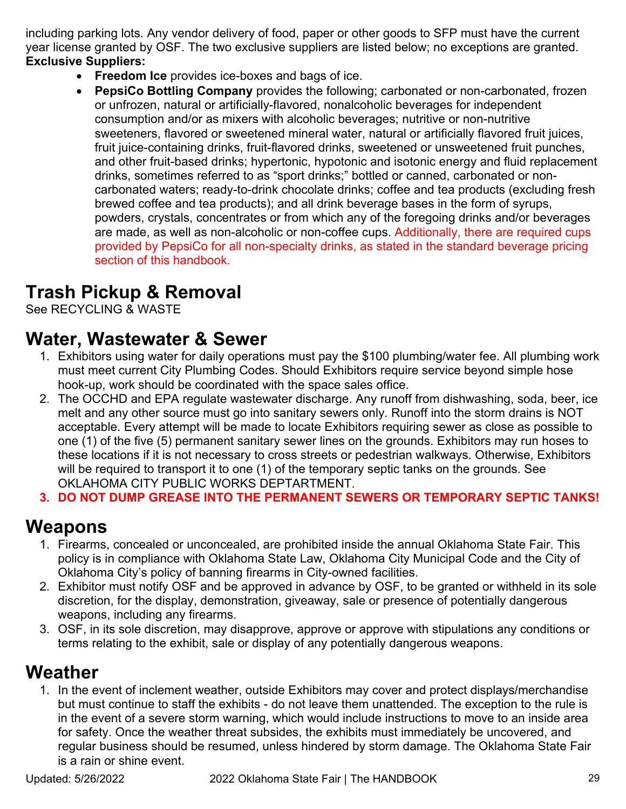including parking lots. Any vendor delivery of food, paper or other goods to SFP must have the current year license granted by OSF. The two exclusive suppliers are listed below; no exceptions are granted. **Exclusive Suppliers:**

- **Freedom Ice** provides ice-boxes and bags of ice.
- **PepsiCo Bottling Company** provides the following; carbonated or non-carbonated, frozen or unfrozen, natural or artificially-flavored, nonalcoholic beverages for independent consumption and/or as mixers with alcoholic beverages; nutritive or non-nutritive sweeteners, flavored or sweetened mineral water, natural or artificially flavored fruit juices, fruit juice-containing drinks, fruit-flavored drinks, sweetened or unsweetened fruit punches, and other fruit-based drinks; hypertonic, hypotonic and isotonic energy and fluid replacement drinks, sometimes referred to as "sport drinks;" bottled or canned, carbonated or noncarbonated waters; ready-to-drink chocolate drinks; coffee and tea products (excluding fresh brewed coffee and tea products); and all drink beverage bases in the form of syrups, powders, crystals, concentrates or from which any of the foregoing drinks and/or beverages are made, as well as non-alcoholic or non-coffee cups. Additionally, there are required cups provided by PepsiCo for all non-specialty drinks, as stated in the standard beverage pricing section of this handbook.

### **Trash Pickup & Removal**

See RECYCLING & WASTE

### **Water, Wastewater & Sewer**

- 1. Exhibitors using water for daily operations must pay the \$100 plumbing/water fee. All plumbing work must meet current City Plumbing Codes. Should Exhibitors require service beyond simple hose hook-up, work should be coordinated with the space sales office.
- 2. The OCCHD and EPA regulate wastewater discharge. Any runoff from dishwashing, soda, beer, ice melt and any other source must go into sanitary sewers only. Runoff into the storm drains is NOT acceptable. Every attempt will be made to locate Exhibitors requiring sewer as close as possible to one (1) of the five (5) permanent sanitary sewer lines on the grounds. Exhibitors may run hoses to these locations if it is not necessary to cross streets or pedestrian walkways. Otherwise, Exhibitors will be required to transport it to one (1) of the temporary septic tanks on the grounds. See OKLAHOMA CITY PUBLIC WORKS DEPTARTMENT.
- **3. DO NOT DUMP GREASE INTO THE PERMANENT SEWERS OR TEMPORARY SEPTIC TANKS!**

### **Weapons**

- 1. Firearms, concealed or unconcealed, are prohibited inside the annual Oklahoma State Fair. This policy is in compliance with Oklahoma State Law, Oklahoma City Municipal Code and the City of Oklahoma City's policy of banning firearms in City-owned facilities.
- 2. Exhibitor must notify OSF and be approved in advance by OSF, to be granted or withheld in its sole discretion, for the display, demonstration, giveaway, sale or presence of potentially dangerous weapons, including any firearms.
- 3. OSF, in its sole discretion, may disapprove, approve or approve with stipulations any conditions or terms relating to the exhibit, sale or display of any potentially dangerous weapons.

### **Weather**

1. In the event of inclement weather, outside Exhibitors may cover and protect displays/merchandise but must continue to staff the exhibits - do not leave them unattended. The exception to the rule is in the event of a severe storm warning, which would include instructions to move to an inside area for safety. Once the weather threat subsides, the exhibits must immediately be uncovered, and regular business should be resumed, unless hindered by storm damage. The Oklahoma State Fair is a rain or shine event.